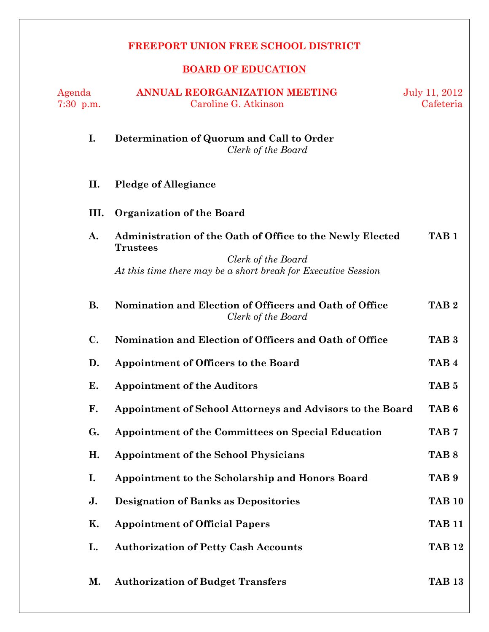# **FREEPORT UNION FREE SCHOOL DISTRICT**

# **BOARD OF EDUCATION**

| Agenda<br>$7:30$ p.m. | <b>ANNUAL REORGANIZATION MEETING</b><br>Caroline G. Atkinson                                                                                                        | July 11, 2012<br>Cafeteria |
|-----------------------|---------------------------------------------------------------------------------------------------------------------------------------------------------------------|----------------------------|
| I.                    | Determination of Quorum and Call to Order<br>Clerk of the Board                                                                                                     |                            |
| П.                    | <b>Pledge of Allegiance</b>                                                                                                                                         |                            |
| III.                  | Organization of the Board                                                                                                                                           |                            |
| A.                    | Administration of the Oath of Office to the Newly Elected<br><b>Trustees</b><br>Clerk of the Board<br>At this time there may be a short break for Executive Session | TAB <sub>1</sub>           |
| <b>B.</b>             | Nomination and Election of Officers and Oath of Office<br>Clerk of the Board                                                                                        | TAB <sub>2</sub>           |
| C.                    | Nomination and Election of Officers and Oath of Office                                                                                                              | TAB <sub>3</sub>           |
| D.                    | <b>Appointment of Officers to the Board</b>                                                                                                                         | TAB <sub>4</sub>           |
| Е.                    | <b>Appointment of the Auditors</b>                                                                                                                                  | TAB <sub>5</sub>           |
| F.                    | Appointment of School Attorneys and Advisors to the Board                                                                                                           | TAB <sub>6</sub>           |
| G.                    | Appointment of the Committees on Special Education                                                                                                                  | TAB <sub>7</sub>           |
| Η.                    | <b>Appointment of the School Physicians</b>                                                                                                                         | TAB <sub>8</sub>           |
| I.                    | Appointment to the Scholarship and Honors Board                                                                                                                     | TAB <sub>9</sub>           |
| J.                    | <b>Designation of Banks as Depositories</b>                                                                                                                         | <b>TAB 10</b>              |
| Κ.                    | <b>Appointment of Official Papers</b>                                                                                                                               | <b>TAB 11</b>              |
| L.                    | <b>Authorization of Petty Cash Accounts</b>                                                                                                                         | <b>TAB 12</b>              |
| М.                    | <b>Authorization of Budget Transfers</b>                                                                                                                            | <b>TAB 13</b>              |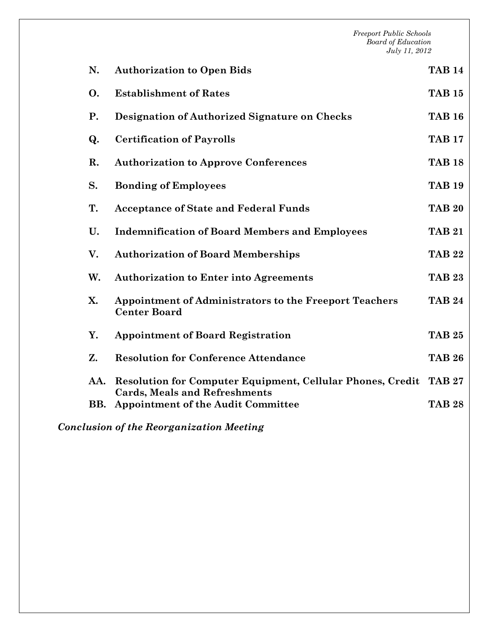*Freeport Public Schools Board of Education July 11, 2012*  **N. Authorization to Open Bids TAB 14 O. Establishment of Rates TAB 15 P. Designation of Authorized Signature on Checks TAB 16 Q. Certification of Payrolls TAB 17 R. Authorization to Approve Conferences TAB 18 S. Bonding of Employees TAB 19 T. Acceptance of State and Federal Funds TAB 20 U. Indemnification of Board Members and Employees TAB 21 V. Authorization of Board Memberships TAB 22 W. Authorization to Enter into Agreements TAB 23 X. Appointment of Administrators to the Freeport Teachers Center Board TAB 24 Y. Appointment of Board Registration TAB 25 Z. Resolution for Conference Attendance TAB 26 AA. Resolution for Computer Equipment, Cellular Phones, Credit TAB 27 Cards, Meals and Refreshments BB. Appointment of the Audit Committee TAB 28** 

*Conclusion of the Reorganization Meeting*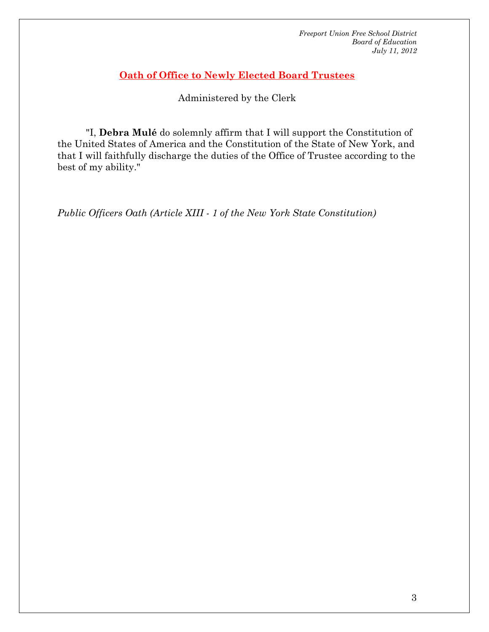# **Oath of Office to Newly Elected Board Trustees**

Administered by the Clerk

 "I, **Debra Mulé** do solemnly affirm that I will support the Constitution of the United States of America and the Constitution of the State of New York, and that I will faithfully discharge the duties of the Office of Trustee according to the best of my ability."

*Public Officers Oath (Article XIII - 1 of the New York State Constitution)*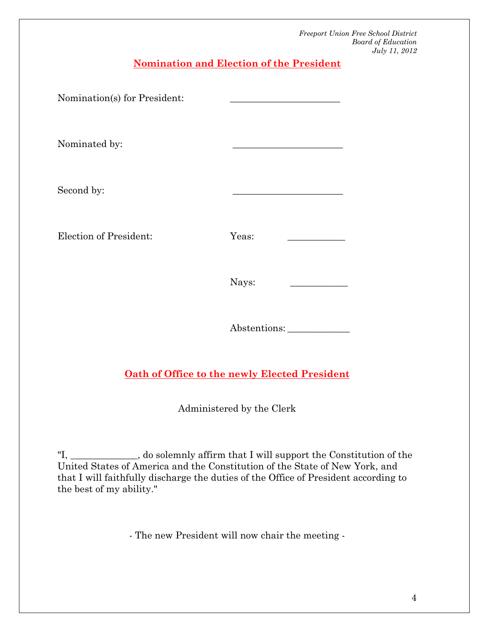**Nomination and Election of the President**

| Nomination(s) for President: |       |  |
|------------------------------|-------|--|
| Nominated by:                |       |  |
| Second by:                   |       |  |
| Election of President:       | Yeas: |  |
|                              | Nays: |  |
|                              |       |  |

Abstentions: \_\_\_\_\_\_\_\_\_\_\_\_\_

# **Oath of Office to the newly Elected President**

Administered by the Clerk

"I, \_\_\_\_\_\_\_\_\_\_\_\_\_\_, do solemnly affirm that I will support the Constitution of the United States of America and the Constitution of the State of New York, and that I will faithfully discharge the duties of the Office of President according to the best of my ability."

- The new President will now chair the meeting -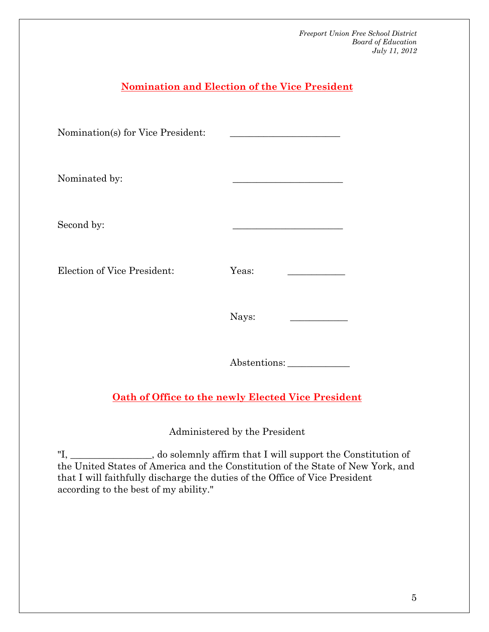# **Nomination and Election of the Vice President** Nomination(s) for Vice President: Nominated by: Second by: Election of Vice President: Yeas: Nays: \_\_\_\_\_\_\_\_\_\_\_\_ Abstentions: \_\_\_\_\_\_\_\_\_\_\_\_\_ **Oath of Office to the newly Elected Vice President** Administered by the President

"I, \_\_\_\_\_\_*\_\_\_\_\_\_\_\_\_\_\_*, do solemnly affirm that I will support the Constitution of the United States of America and the Constitution of the State of New York, and that I will faithfully discharge the duties of the Office of Vice President according to the best of my ability."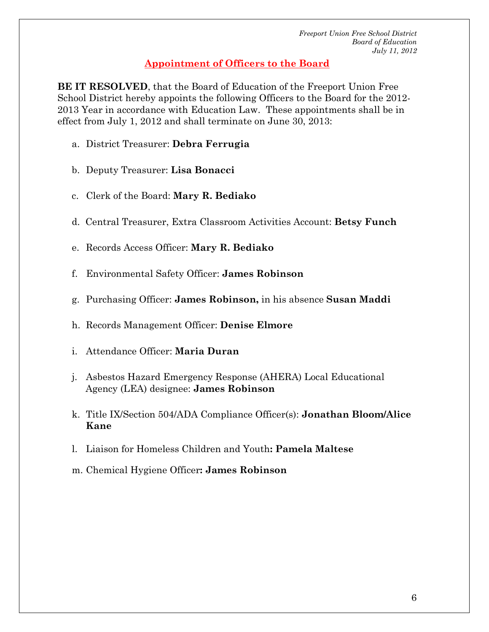# **Appointment of Officers to the Board**

**BE IT RESOLVED**, that the Board of Education of the Freeport Union Free School District hereby appoints the following Officers to the Board for the 2012- 2013 Year in accordance with Education Law. These appointments shall be in effect from July 1, 2012 and shall terminate on June 30, 2013:

- a. District Treasurer: **Debra Ferrugia**
- b. Deputy Treasurer: **Lisa Bonacci**
- c. Clerk of the Board: **Mary R. Bediako**
- d. Central Treasurer, Extra Classroom Activities Account: **Betsy Funch**
- e. Records Access Officer: **Mary R. Bediako**
- f. Environmental Safety Officer: **James Robinson**
- g. Purchasing Officer: **James Robinson,** in his absence **Susan Maddi**
- h. Records Management Officer: **Denise Elmore**
- i. Attendance Officer: **Maria Duran**
- j. Asbestos Hazard Emergency Response (AHERA) Local Educational Agency (LEA) designee: **James Robinson**
- k. Title IX/Section 504/ADA Compliance Officer(s): **Jonathan Bloom/Alice Kane**
- l. Liaison for Homeless Children and Youth**: Pamela Maltese**
- m.Chemical Hygiene Officer**: James Robinson**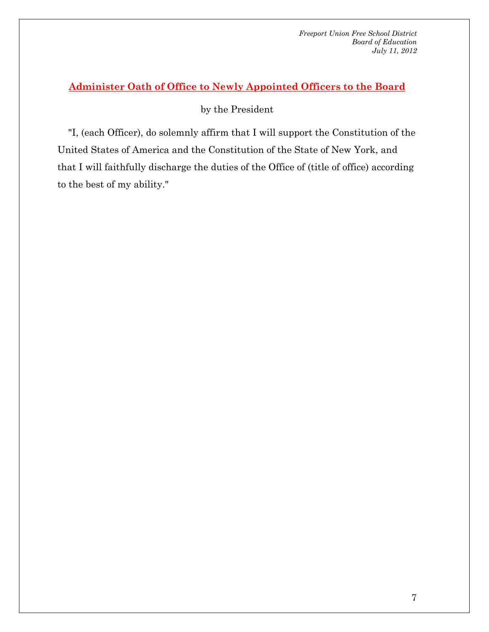# **Administer Oath of Office to Newly Appointed Officers to the Board**

by the President

 "I, (each Officer), do solemnly affirm that I will support the Constitution of the United States of America and the Constitution of the State of New York, and that I will faithfully discharge the duties of the Office of (title of office) according to the best of my ability."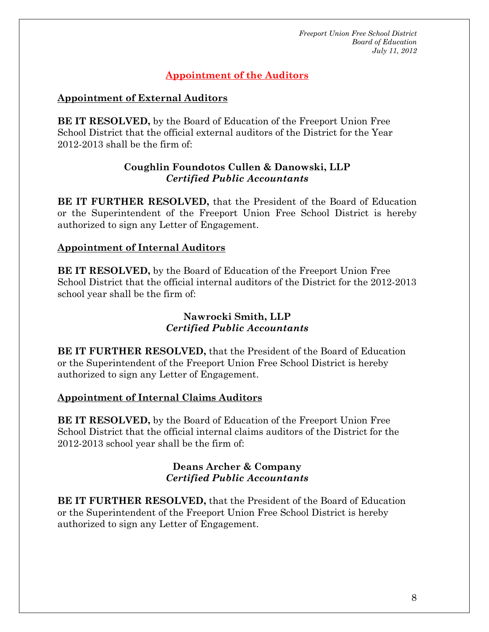# **Appointment of the Auditors**

#### **Appointment of External Auditors**

**BE IT RESOLVED,** by the Board of Education of the Freeport Union Free School District that the official external auditors of the District for the Year 2012-2013 shall be the firm of:

#### **Coughlin Foundotos Cullen & Danowski, LLP**  *Certified Public Accountants*

**BE IT FURTHER RESOLVED,** that the President of the Board of Education or the Superintendent of the Freeport Union Free School District is hereby authorized to sign any Letter of Engagement.

# **Appointment of Internal Auditors**

**BE IT RESOLVED,** by the Board of Education of the Freeport Union Free School District that the official internal auditors of the District for the 2012-2013 school year shall be the firm of:

#### **Nawrocki Smith, LLP**  *Certified Public Accountants*

**BE IT FURTHER RESOLVED,** that the President of the Board of Education or the Superintendent of the Freeport Union Free School District is hereby authorized to sign any Letter of Engagement.

#### **Appointment of Internal Claims Auditors**

**BE IT RESOLVED,** by the Board of Education of the Freeport Union Free School District that the official internal claims auditors of the District for the 2012-2013 school year shall be the firm of:

#### **Deans Archer & Company**  *Certified Public Accountants*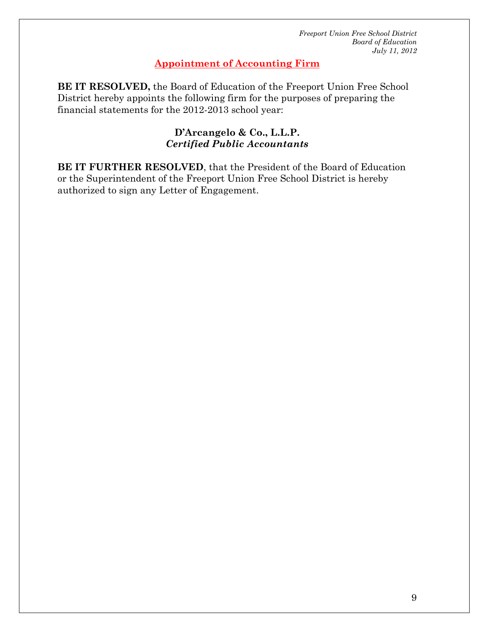#### **Appointment of Accounting Firm**

**BE IT RESOLVED,** the Board of Education of the Freeport Union Free School District hereby appoints the following firm for the purposes of preparing the financial statements for the 2012-2013 school year:

#### **D'Arcangelo & Co., L.L.P.** *Certified Public Accountants*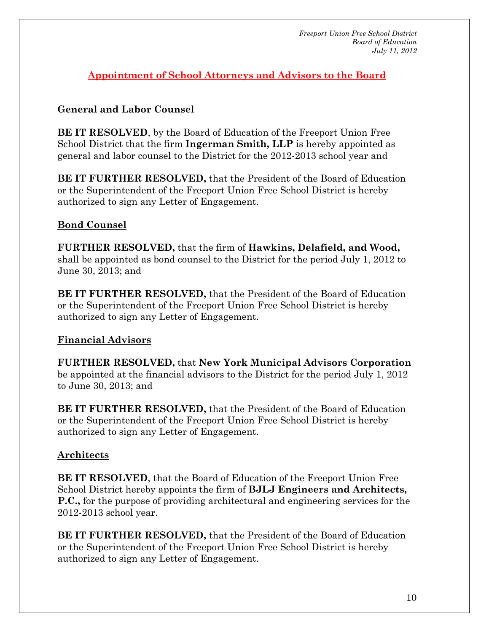**Appointment of School Attorneys and Advisors to the Board**

# **General and Labor Counsel**

**BE IT RESOLVED**, by the Board of Education of the Freeport Union Free School District that the firm **Ingerman Smith, LLP** is hereby appointed as general and labor counsel to the District for the 2012-2013 school year and

**BE IT FURTHER RESOLVED,** that the President of the Board of Education or the Superintendent of the Freeport Union Free School District is hereby authorized to sign any Letter of Engagement.

# **Bond Counsel**

**FURTHER RESOLVED,** that the firm of **Hawkins, Delafield, and Wood,** shall be appointed as bond counsel to the District for the period July 1, 2012 to June 30, 2013; and

**BE IT FURTHER RESOLVED,** that the President of the Board of Education or the Superintendent of the Freeport Union Free School District is hereby authorized to sign any Letter of Engagement.

# **Financial Advisors**

**FURTHER RESOLVED,** that **New York Municipal Advisors Corporation** be appointed at the financial advisors to the District for the period July 1, 2012 to June 30, 2013; and

**BE IT FURTHER RESOLVED,** that the President of the Board of Education or the Superintendent of the Freeport Union Free School District is hereby authorized to sign any Letter of Engagement.

# **Architects**

**BE IT RESOLVED**, that the Board of Education of the Freeport Union Free School District hereby appoints the firm of **BJLJ Engineers and Architects, P.C.,** for the purpose of providing architectural and engineering services for the 2012-2013 school year.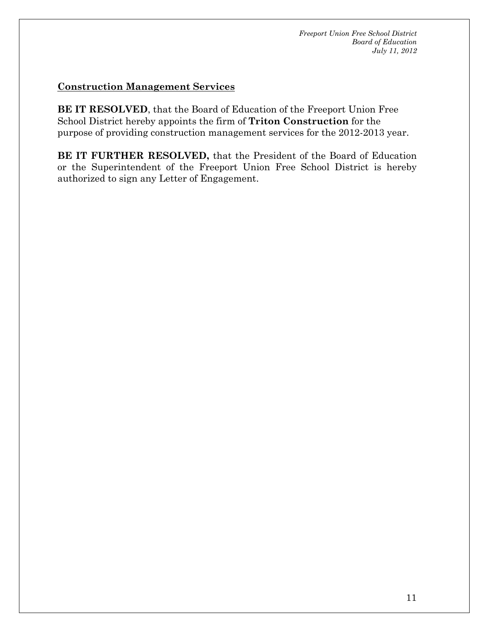#### **Construction Management Services**

**BE IT RESOLVED**, that the Board of Education of the Freeport Union Free School District hereby appoints the firm of **Triton Construction** for the purpose of providing construction management services for the 2012-2013 year.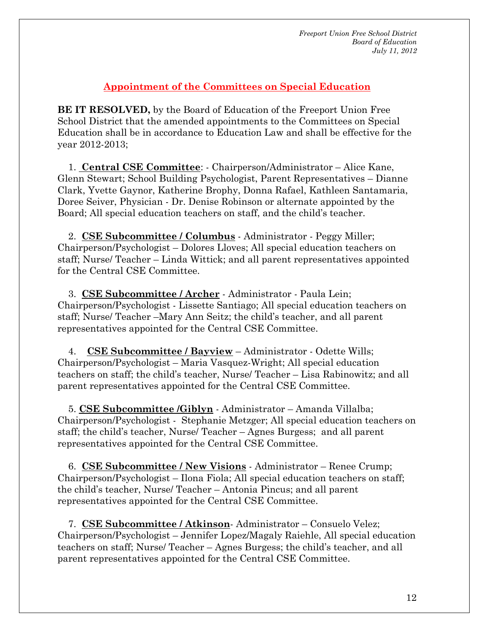# **Appointment of the Committees on Special Education**

**BE IT RESOLVED,** by the Board of Education of the Freeport Union Free School District that the amended appointments to the Committees on Special Education shall be in accordance to Education Law and shall be effective for the year 2012-2013;

 1. **Central CSE Committee**: - Chairperson/Administrator – Alice Kane, Glenn Stewart; School Building Psychologist, Parent Representatives – Dianne Clark, Yvette Gaynor, Katherine Brophy, Donna Rafael, Kathleen Santamaria, Doree Seiver, Physician - Dr. Denise Robinson or alternate appointed by the Board; All special education teachers on staff, and the child's teacher.

 2. **CSE Subcommittee / Columbus** - Administrator - Peggy Miller; Chairperson/Psychologist – Dolores Lloves; All special education teachers on staff; Nurse/ Teacher – Linda Wittick; and all parent representatives appointed for the Central CSE Committee.

 3. **CSE Subcommittee / Archer** - Administrator - Paula Lein; Chairperson/Psychologist - Lissette Santiago; All special education teachers on staff; Nurse/ Teacher –Mary Ann Seitz; the child's teacher, and all parent representatives appointed for the Central CSE Committee.

 4. **CSE Subcommittee / Bayview** – Administrator - Odette Wills; Chairperson/Psychologist – Maria Vasquez-Wright; All special education teachers on staff; the child's teacher, Nurse/ Teacher – Lisa Rabinowitz; and all parent representatives appointed for the Central CSE Committee.

 5. **CSE Subcommittee /Giblyn** - Administrator – Amanda Villalba; Chairperson/Psychologist - Stephanie Metzger; All special education teachers on staff; the child's teacher, Nurse/ Teacher – Agnes Burgess; and all parent representatives appointed for the Central CSE Committee.

 6. **CSE Subcommittee / New Visions** - Administrator – Renee Crump; Chairperson/Psychologist – Ilona Fiola; All special education teachers on staff; the child's teacher, Nurse/ Teacher – Antonia Pincus; and all parent representatives appointed for the Central CSE Committee.

 7. **CSE Subcommittee / Atkinson**- Administrator – Consuelo Velez; Chairperson/Psychologist – Jennifer Lopez/Magaly Raiehle, All special education teachers on staff; Nurse/ Teacher – Agnes Burgess; the child's teacher, and all parent representatives appointed for the Central CSE Committee.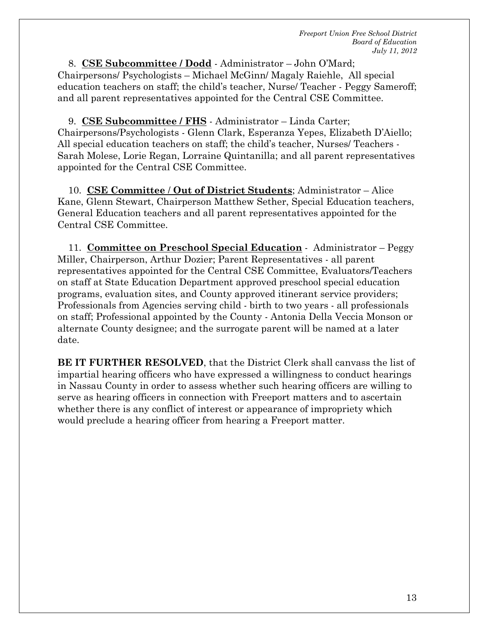8. **CSE Subcommittee / Dodd** - Administrator – John O'Mard; Chairpersons/ Psychologists – Michael McGinn/ Magaly Raiehle, All special education teachers on staff; the child's teacher, Nurse/ Teacher - Peggy Sameroff; and all parent representatives appointed for the Central CSE Committee.

 9. **CSE Subcommittee / FHS** - Administrator – Linda Carter; Chairpersons/Psychologists - Glenn Clark, Esperanza Yepes, Elizabeth D'Aiello; All special education teachers on staff; the child's teacher, Nurses/ Teachers - Sarah Molese, Lorie Regan, Lorraine Quintanilla; and all parent representatives appointed for the Central CSE Committee.

 10. **CSE Committee** / **Out of District Students**; Administrator – Alice Kane, Glenn Stewart, Chairperson Matthew Sether, Special Education teachers, General Education teachers and all parent representatives appointed for the Central CSE Committee.

 11. **Committee on Preschool Special Education** - Administrator – Peggy Miller, Chairperson, Arthur Dozier; Parent Representatives - all parent representatives appointed for the Central CSE Committee, Evaluators/Teachers on staff at State Education Department approved preschool special education programs, evaluation sites, and County approved itinerant service providers; Professionals from Agencies serving child - birth to two years - all professionals on staff; Professional appointed by the County - Antonia Della Veccia Monson or alternate County designee; and the surrogate parent will be named at a later date.

**BE IT FURTHER RESOLVED**, that the District Clerk shall canvass the list of impartial hearing officers who have expressed a willingness to conduct hearings in Nassau County in order to assess whether such hearing officers are willing to serve as hearing officers in connection with Freeport matters and to ascertain whether there is any conflict of interest or appearance of impropriety which would preclude a hearing officer from hearing a Freeport matter.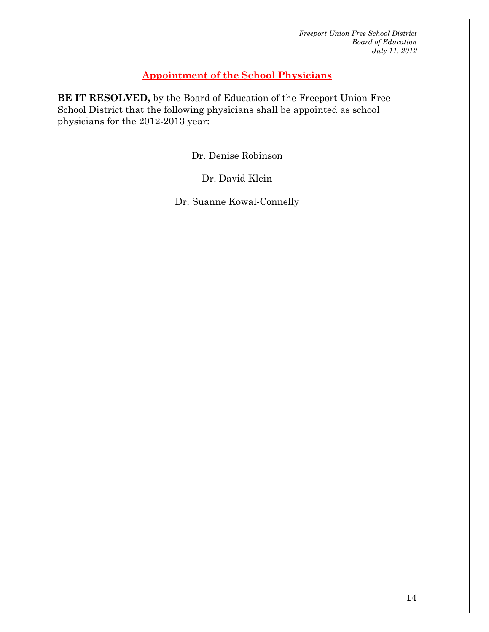# **Appointment of the School Physicians**

**BE IT RESOLVED,** by the Board of Education of the Freeport Union Free School District that the following physicians shall be appointed as school physicians for the 2012-2013 year:

Dr. Denise Robinson

Dr. David Klein

Dr. Suanne Kowal-Connelly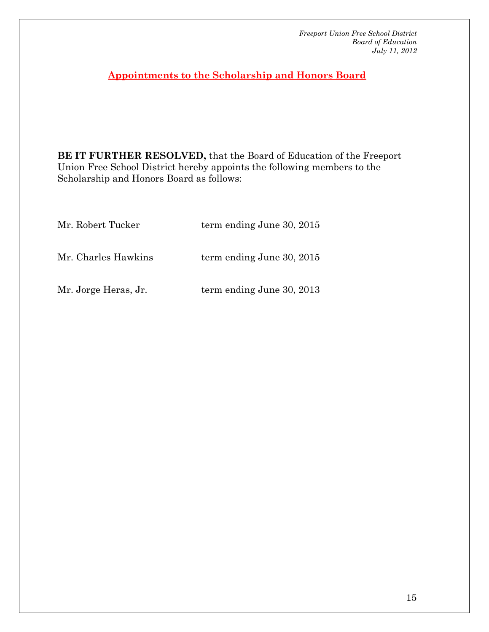**Appointments to the Scholarship and Honors Board**

**BE IT FURTHER RESOLVED,** that the Board of Education of the Freeport Union Free School District hereby appoints the following members to the Scholarship and Honors Board as follows:

| Mr. Robert Tucker    | term ending June 30, 2015   |
|----------------------|-----------------------------|
| Mr. Charles Hawkins  | term ending June $30, 2015$ |
| Mr. Jorge Heras, Jr. | term ending June 30, 2013   |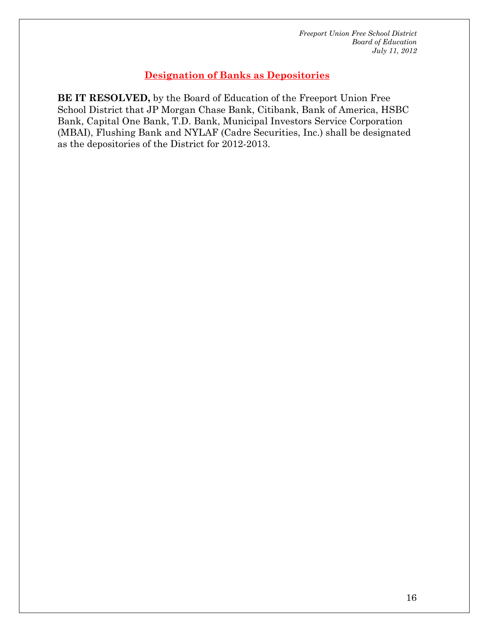# **Designation of Banks as Depositories**

**BE IT RESOLVED,** by the Board of Education of the Freeport Union Free School District that JP Morgan Chase Bank, Citibank, Bank of America, HSBC Bank, Capital One Bank, T.D. Bank, Municipal Investors Service Corporation (MBAI), Flushing Bank and NYLAF (Cadre Securities, Inc.) shall be designated as the depositories of the District for 2012-2013.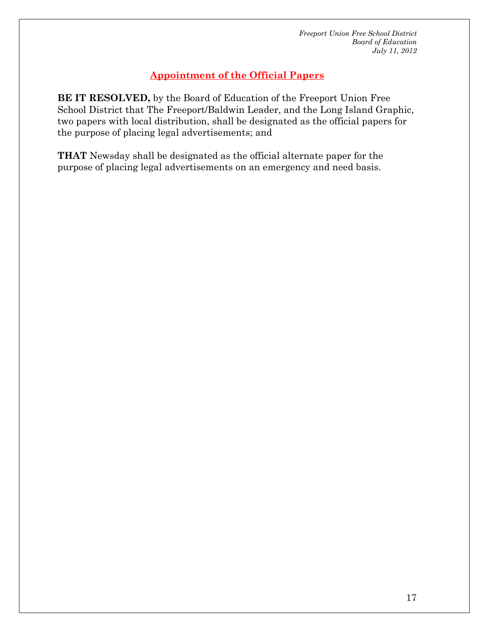# **Appointment of the Official Papers**

**BE IT RESOLVED,** by the Board of Education of the Freeport Union Free School District that The Freeport/Baldwin Leader, and the Long Island Graphic, two papers with local distribution, shall be designated as the official papers for the purpose of placing legal advertisements; and

**THAT** Newsday shall be designated as the official alternate paper for the purpose of placing legal advertisements on an emergency and need basis.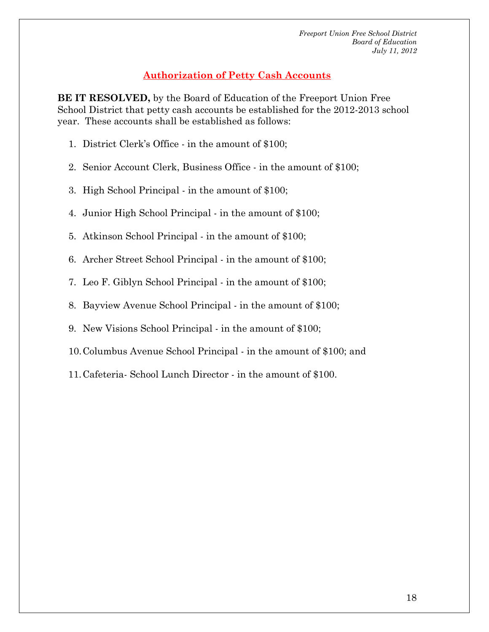# **Authorization of Petty Cash Accounts**

**BE IT RESOLVED,** by the Board of Education of the Freeport Union Free School District that petty cash accounts be established for the 2012-2013 school year. These accounts shall be established as follows:

- 1. District Clerk's Office in the amount of \$100;
- 2. Senior Account Clerk, Business Office in the amount of \$100;
- 3. High School Principal in the amount of \$100;
- 4. Junior High School Principal in the amount of \$100;
- 5. Atkinson School Principal in the amount of \$100;
- 6. Archer Street School Principal in the amount of \$100;
- 7. Leo F. Giblyn School Principal in the amount of \$100;
- 8. Bayview Avenue School Principal in the amount of \$100;
- 9. New Visions School Principal in the amount of \$100;
- 10.Columbus Avenue School Principal in the amount of \$100; and
- 11.Cafeteria- School Lunch Director in the amount of \$100.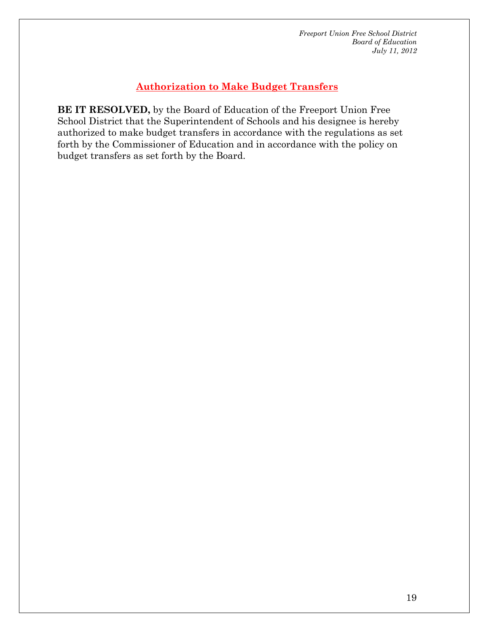# **Authorization to Make Budget Transfers**

**BE IT RESOLVED,** by the Board of Education of the Freeport Union Free School District that the Superintendent of Schools and his designee is hereby authorized to make budget transfers in accordance with the regulations as set forth by the Commissioner of Education and in accordance with the policy on budget transfers as set forth by the Board.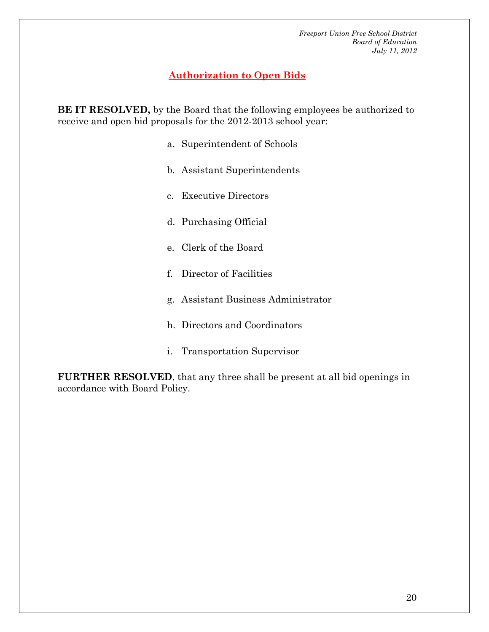# **Authorization to Open Bids**

**BE IT RESOLVED,** by the Board that the following employees be authorized to receive and open bid proposals for the 2012-2013 school year:

- a. Superintendent of Schools
- b. Assistant Superintendents
- c. Executive Directors
- d. Purchasing Official
- e. Clerk of the Board
- f. Director of Facilities
- g. Assistant Business Administrator
- h. Directors and Coordinators
- i. Transportation Supervisor

**FURTHER RESOLVED**, that any three shall be present at all bid openings in accordance with Board Policy.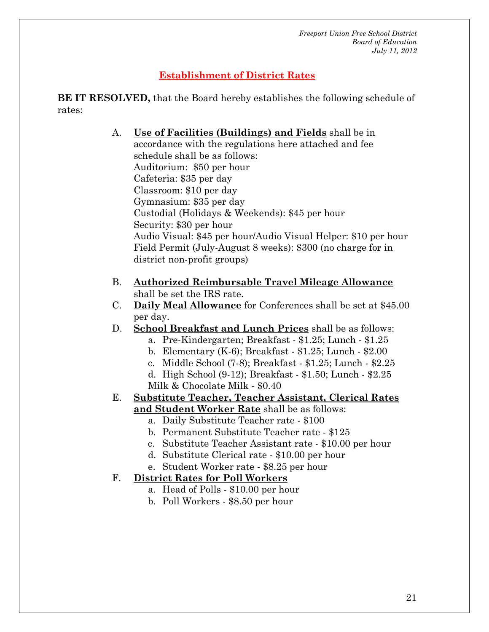# **Establishment of District Rates**

**BE IT RESOLVED,** that the Board hereby establishes the following schedule of rates:

> A. **Use of Facilities (Buildings) and Fields** shall be in accordance with the regulations here attached and fee schedule shall be as follows: Auditorium: \$50 per hour Cafeteria: \$35 per day Classroom: \$10 per day Gymnasium: \$35 per day Custodial (Holidays & Weekends): \$45 per hour Security: \$30 per hour Audio Visual: \$45 per hour/Audio Visual Helper: \$10 per hour Field Permit (July-August 8 weeks): \$300 (no charge for in district non-profit groups)

- B. **Authorized Reimbursable Travel Mileage Allowance** shall be set the IRS rate.
- C. **Daily Meal Allowance** for Conferences shall be set at \$45.00 per day.
- D. **School Breakfast and Lunch Prices** shall be as follows:
	- a. Pre-Kindergarten; Breakfast \$1.25; Lunch \$1.25
	- b. Elementary (K-6); Breakfast \$1.25; Lunch \$2.00
	- c. Middle School (7-8); Breakfast \$1.25; Lunch \$2.25
	- d. High School (9-12); Breakfast \$1.50; Lunch \$2.25 Milk & Chocolate Milk - \$0.40
- E. **Substitute Teacher, Teacher Assistant, Clerical Rates and Student Worker Rate** shall be as follows:
	- a. Daily Substitute Teacher rate \$100
	- b. Permanent Substitute Teacher rate \$125
	- c. Substitute Teacher Assistant rate \$10.00 per hour
	- d. Substitute Clerical rate \$10.00 per hour
	- e. Student Worker rate \$8.25 per hour

# F. **District Rates for Poll Workers**

- a. Head of Polls \$10.00 per hour
- b. Poll Workers \$8.50 per hour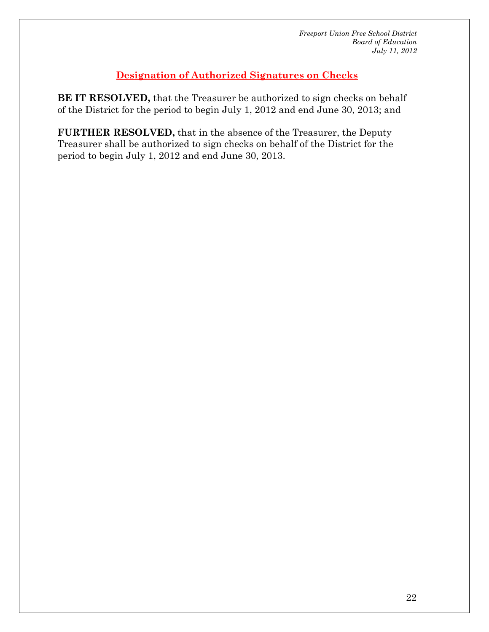# **Designation of Authorized Signatures on Checks**

**BE IT RESOLVED,** that the Treasurer be authorized to sign checks on behalf of the District for the period to begin July 1, 2012 and end June 30, 2013; and

**FURTHER RESOLVED,** that in the absence of the Treasurer, the Deputy Treasurer shall be authorized to sign checks on behalf of the District for the period to begin July 1, 2012 and end June 30, 2013.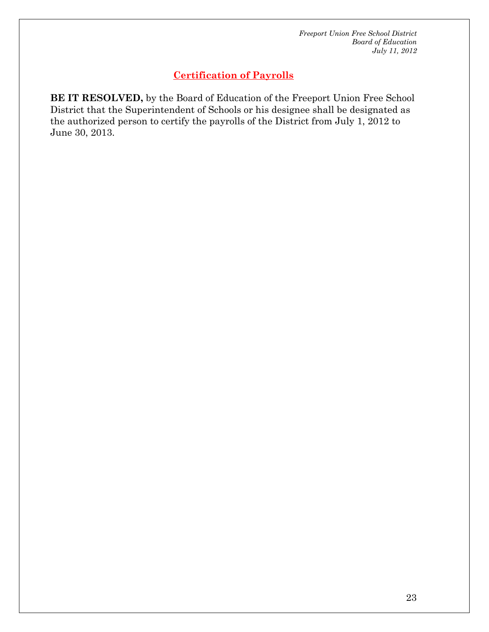# **Certification of Payrolls**

**BE IT RESOLVED,** by the Board of Education of the Freeport Union Free School District that the Superintendent of Schools or his designee shall be designated as the authorized person to certify the payrolls of the District from July 1, 2012 to June 30, 2013.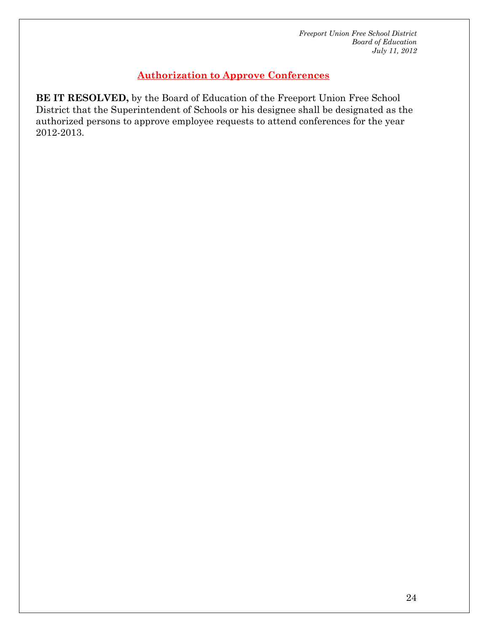# **Authorization to Approve Conferences**

**BE IT RESOLVED,** by the Board of Education of the Freeport Union Free School District that the Superintendent of Schools or his designee shall be designated as the authorized persons to approve employee requests to attend conferences for the year 2012-2013.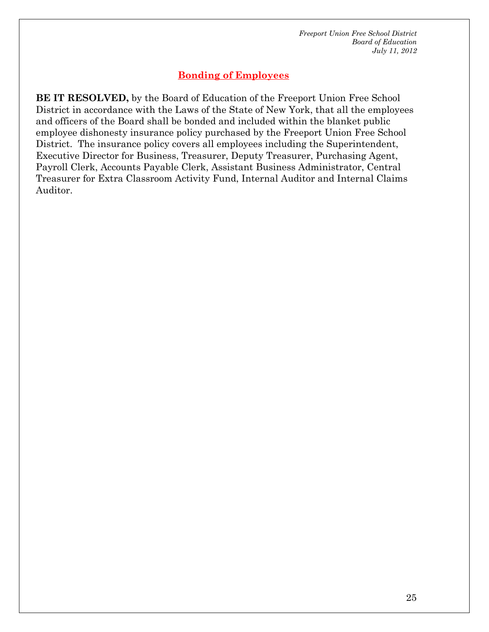# **Bonding of Employees**

**BE IT RESOLVED,** by the Board of Education of the Freeport Union Free School District in accordance with the Laws of the State of New York, that all the employees and officers of the Board shall be bonded and included within the blanket public employee dishonesty insurance policy purchased by the Freeport Union Free School District. The insurance policy covers all employees including the Superintendent, Executive Director for Business, Treasurer, Deputy Treasurer, Purchasing Agent, Payroll Clerk, Accounts Payable Clerk, Assistant Business Administrator, Central Treasurer for Extra Classroom Activity Fund, Internal Auditor and Internal Claims Auditor.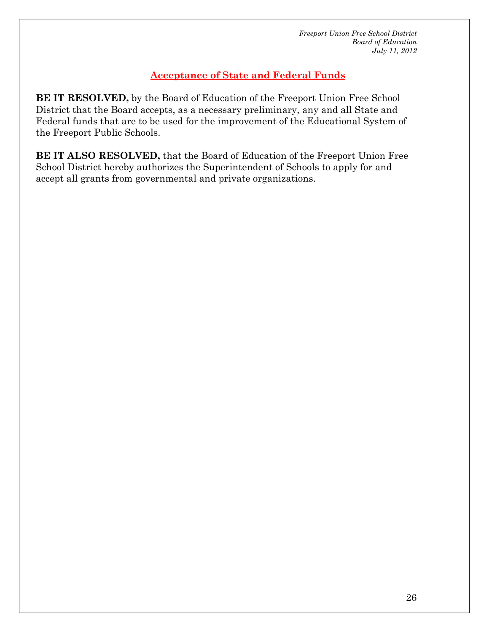# **Acceptance of State and Federal Funds**

**BE IT RESOLVED,** by the Board of Education of the Freeport Union Free School District that the Board accepts, as a necessary preliminary, any and all State and Federal funds that are to be used for the improvement of the Educational System of the Freeport Public Schools.

**BE IT ALSO RESOLVED,** that the Board of Education of the Freeport Union Free School District hereby authorizes the Superintendent of Schools to apply for and accept all grants from governmental and private organizations.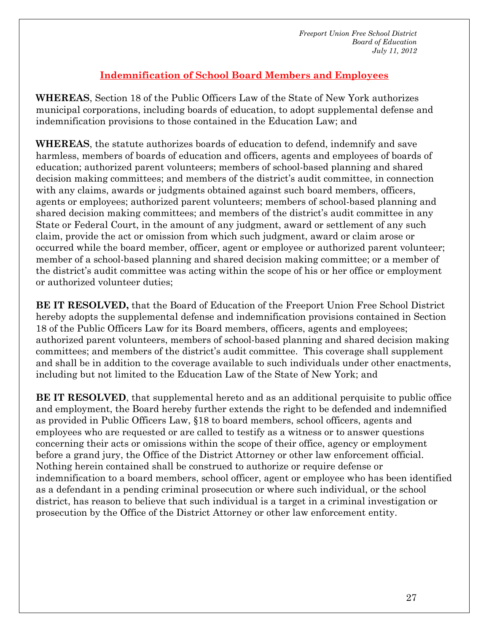# **Indemnification of School Board Members and Employees**

**WHEREAS**, Section 18 of the Public Officers Law of the State of New York authorizes municipal corporations, including boards of education, to adopt supplemental defense and indemnification provisions to those contained in the Education Law; and

**WHEREAS**, the statute authorizes boards of education to defend, indemnify and save harmless, members of boards of education and officers, agents and employees of boards of education; authorized parent volunteers; members of school-based planning and shared decision making committees; and members of the district's audit committee, in connection with any claims, awards or judgments obtained against such board members, officers, agents or employees; authorized parent volunteers; members of school-based planning and shared decision making committees; and members of the district's audit committee in any State or Federal Court, in the amount of any judgment, award or settlement of any such claim, provide the act or omission from which such judgment, award or claim arose or occurred while the board member, officer, agent or employee or authorized parent volunteer; member of a school-based planning and shared decision making committee; or a member of the district's audit committee was acting within the scope of his or her office or employment or authorized volunteer duties;

**BE IT RESOLVED,** that the Board of Education of the Freeport Union Free School District hereby adopts the supplemental defense and indemnification provisions contained in Section 18 of the Public Officers Law for its Board members, officers, agents and employees; authorized parent volunteers, members of school-based planning and shared decision making committees; and members of the district's audit committee. This coverage shall supplement and shall be in addition to the coverage available to such individuals under other enactments, including but not limited to the Education Law of the State of New York; and

**BE IT RESOLVED**, that supplemental hereto and as an additional perquisite to public office and employment, the Board hereby further extends the right to be defended and indemnified as provided in Public Officers Law, §18 to board members, school officers, agents and employees who are requested or are called to testify as a witness or to answer questions concerning their acts or omissions within the scope of their office, agency or employment before a grand jury, the Office of the District Attorney or other law enforcement official. Nothing herein contained shall be construed to authorize or require defense or indemnification to a board members, school officer, agent or employee who has been identified as a defendant in a pending criminal prosecution or where such individual, or the school district, has reason to believe that such individual is a target in a criminal investigation or prosecution by the Office of the District Attorney or other law enforcement entity.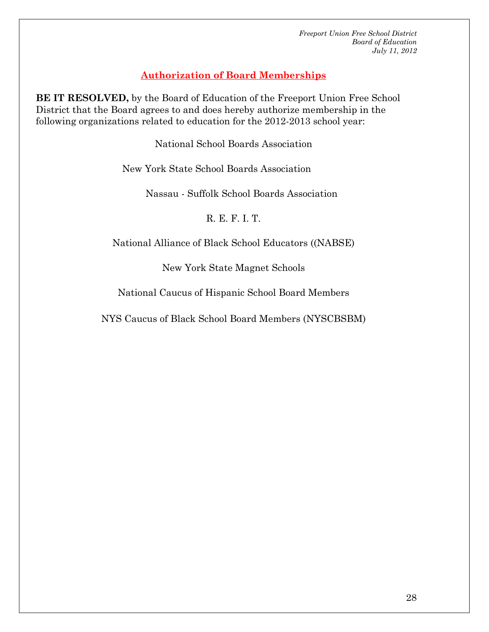# **Authorization of Board Memberships**

**BE IT RESOLVED,** by the Board of Education of the Freeport Union Free School District that the Board agrees to and does hereby authorize membership in the following organizations related to education for the 2012-2013 school year:

National School Boards Association

New York State School Boards Association

Nassau - Suffolk School Boards Association

R. E. F. I. T.

National Alliance of Black School Educators ((NABSE)

New York State Magnet Schools

National Caucus of Hispanic School Board Members

NYS Caucus of Black School Board Members (NYSCBSBM)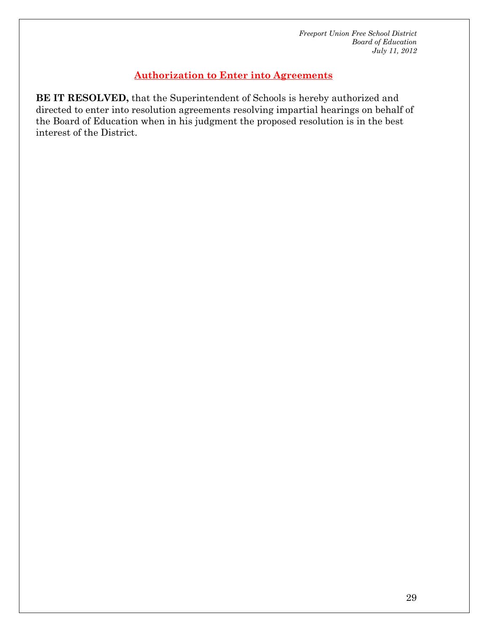# **Authorization to Enter into Agreements**

**BE IT RESOLVED,** that the Superintendent of Schools is hereby authorized and directed to enter into resolution agreements resolving impartial hearings on behalf of the Board of Education when in his judgment the proposed resolution is in the best interest of the District.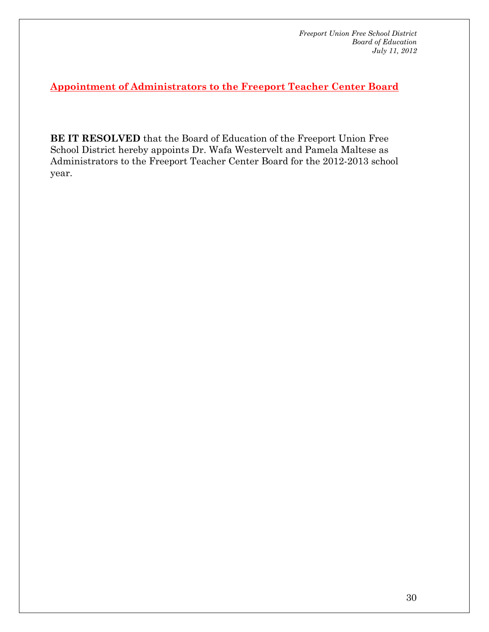**Appointment of Administrators to the Freeport Teacher Center Board**

**BE IT RESOLVED** that the Board of Education of the Freeport Union Free School District hereby appoints Dr. Wafa Westervelt and Pamela Maltese as Administrators to the Freeport Teacher Center Board for the 2012-2013 school year.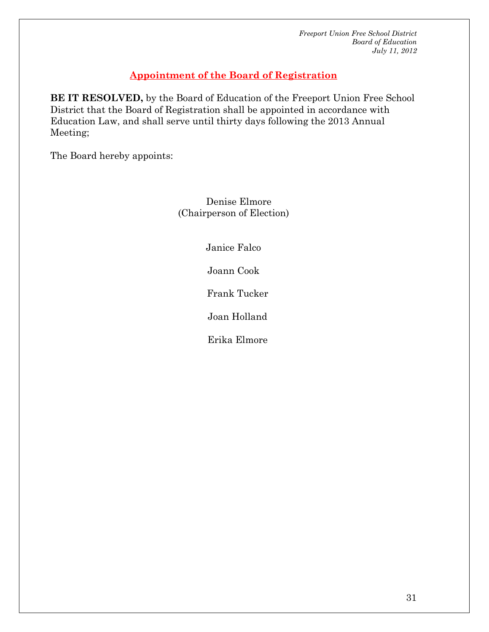# **Appointment of the Board of Registration**

**BE IT RESOLVED,** by the Board of Education of the Freeport Union Free School District that the Board of Registration shall be appointed in accordance with Education Law, and shall serve until thirty days following the 2013 Annual Meeting;

The Board hereby appoints:

 Denise Elmore (Chairperson of Election)

Janice Falco

Joann Cook

Frank Tucker

Joan Holland

Erika Elmore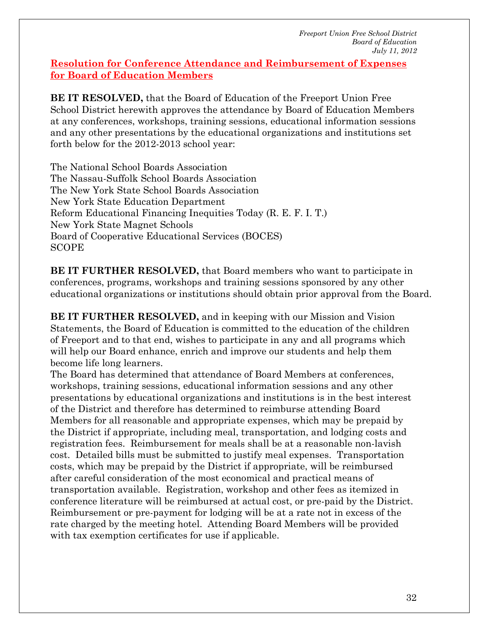#### **Resolution for Conference Attendance and Reimbursement of Expenses for Board of Education Members**

**BE IT RESOLVED,** that the Board of Education of the Freeport Union Free School District herewith approves the attendance by Board of Education Members at any conferences, workshops, training sessions, educational information sessions and any other presentations by the educational organizations and institutions set forth below for the 2012-2013 school year:

The National School Boards Association The Nassau-Suffolk School Boards Association The New York State School Boards Association New York State Education Department Reform Educational Financing Inequities Today (R. E. F. I. T.) New York State Magnet Schools Board of Cooperative Educational Services (BOCES) SCOPE

**BE IT FURTHER RESOLVED, that Board members who want to participate in** conferences, programs, workshops and training sessions sponsored by any other educational organizations or institutions should obtain prior approval from the Board.

**BE IT FURTHER RESOLVED,** and in keeping with our Mission and Vision Statements, the Board of Education is committed to the education of the children of Freeport and to that end, wishes to participate in any and all programs which will help our Board enhance, enrich and improve our students and help them become life long learners.

The Board has determined that attendance of Board Members at conferences, workshops, training sessions, educational information sessions and any other presentations by educational organizations and institutions is in the best interest of the District and therefore has determined to reimburse attending Board Members for all reasonable and appropriate expenses, which may be prepaid by the District if appropriate, including meal, transportation, and lodging costs and registration fees. Reimbursement for meals shall be at a reasonable non-lavish cost. Detailed bills must be submitted to justify meal expenses. Transportation costs, which may be prepaid by the District if appropriate, will be reimbursed after careful consideration of the most economical and practical means of transportation available. Registration, workshop and other fees as itemized in conference literature will be reimbursed at actual cost, or pre-paid by the District. Reimbursement or pre-payment for lodging will be at a rate not in excess of the rate charged by the meeting hotel. Attending Board Members will be provided with tax exemption certificates for use if applicable.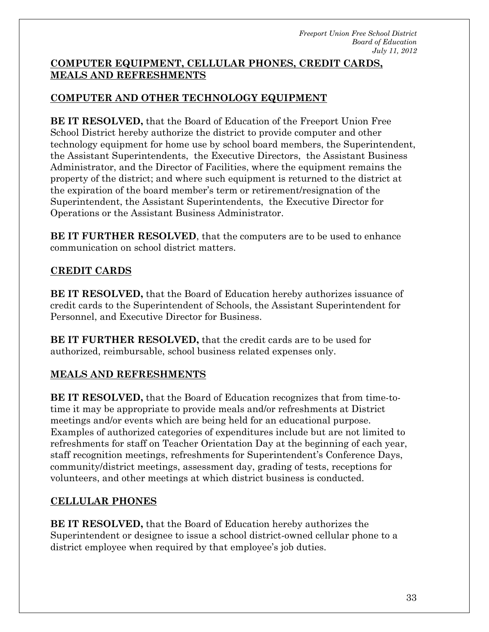# **COMPUTER EQUIPMENT, CELLULAR PHONES, CREDIT CARDS, MEALS AND REFRESHMENTS**

# **COMPUTER AND OTHER TECHNOLOGY EQUIPMENT**

**BE IT RESOLVED,** that the Board of Education of the Freeport Union Free School District hereby authorize the district to provide computer and other technology equipment for home use by school board members, the Superintendent, the Assistant Superintendents, the Executive Directors, the Assistant Business Administrator, and the Director of Facilities, where the equipment remains the property of the district; and where such equipment is returned to the district at the expiration of the board member's term or retirement/resignation of the Superintendent, the Assistant Superintendents, the Executive Director for Operations or the Assistant Business Administrator.

**BE IT FURTHER RESOLVED**, that the computers are to be used to enhance communication on school district matters.

# **CREDIT CARDS**

**BE IT RESOLVED,** that the Board of Education hereby authorizes issuance of credit cards to the Superintendent of Schools, the Assistant Superintendent for Personnel, and Executive Director for Business.

**BE IT FURTHER RESOLVED,** that the credit cards are to be used for authorized, reimbursable, school business related expenses only.

# **MEALS AND REFRESHMENTS**

**BE IT RESOLVED,** that the Board of Education recognizes that from time-totime it may be appropriate to provide meals and/or refreshments at District meetings and/or events which are being held for an educational purpose. Examples of authorized categories of expenditures include but are not limited to refreshments for staff on Teacher Orientation Day at the beginning of each year, staff recognition meetings, refreshments for Superintendent's Conference Days, community/district meetings, assessment day, grading of tests, receptions for volunteers, and other meetings at which district business is conducted.

# **CELLULAR PHONES**

**BE IT RESOLVED,** that the Board of Education hereby authorizes the Superintendent or designee to issue a school district-owned cellular phone to a district employee when required by that employee's job duties.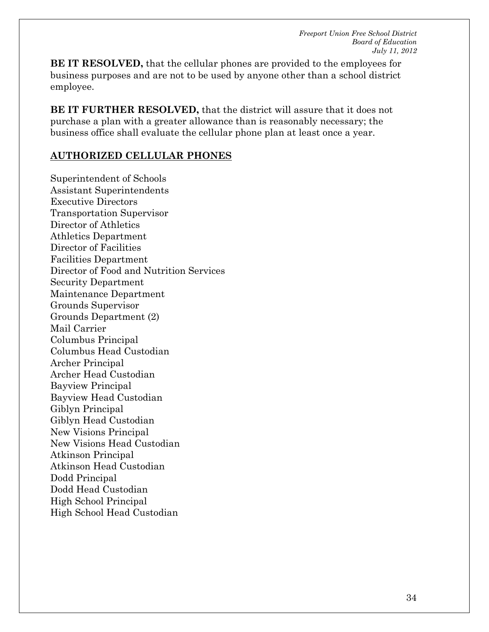**BE IT RESOLVED,** that the cellular phones are provided to the employees for business purposes and are not to be used by anyone other than a school district employee.

**BE IT FURTHER RESOLVED,** that the district will assure that it does not purchase a plan with a greater allowance than is reasonably necessary; the business office shall evaluate the cellular phone plan at least once a year.

#### **AUTHORIZED CELLULAR PHONES**

Superintendent of Schools Assistant Superintendents Executive Directors Transportation Supervisor Director of Athletics Athletics Department Director of Facilities Facilities Department Director of Food and Nutrition Services Security Department Maintenance Department Grounds Supervisor Grounds Department (2) Mail Carrier Columbus Principal Columbus Head Custodian Archer Principal Archer Head Custodian Bayview Principal Bayview Head Custodian Giblyn Principal Giblyn Head Custodian New Visions Principal New Visions Head Custodian Atkinson Principal Atkinson Head Custodian Dodd Principal Dodd Head Custodian High School Principal High School Head Custodian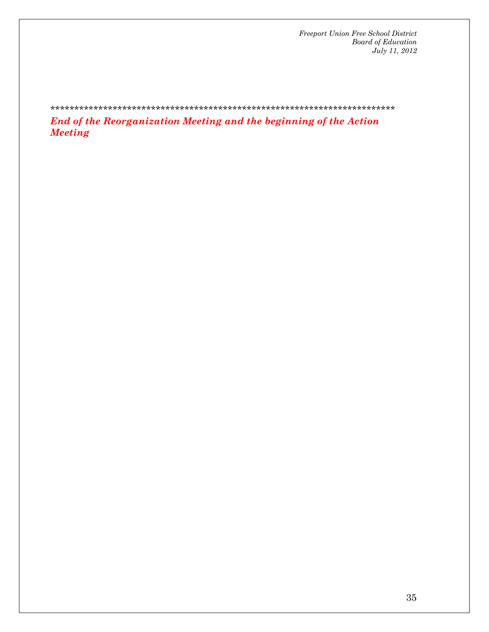\*\*\*\*\*\*\*\*\*\*\*\*\*\*\*\*\*\*\*\*\*\*\*\*\*\*\*\*\*\*\*\*\*\*\*\*\*\*\*\*\*\*\*\*\*\*\*\*\*\*\*\*\*\*\*\*\*\*\*\*\*\*\*\*\*\*\*\*\*\*\*\*

*End of the Reorganization Meeting and the beginning of the Action Meeting*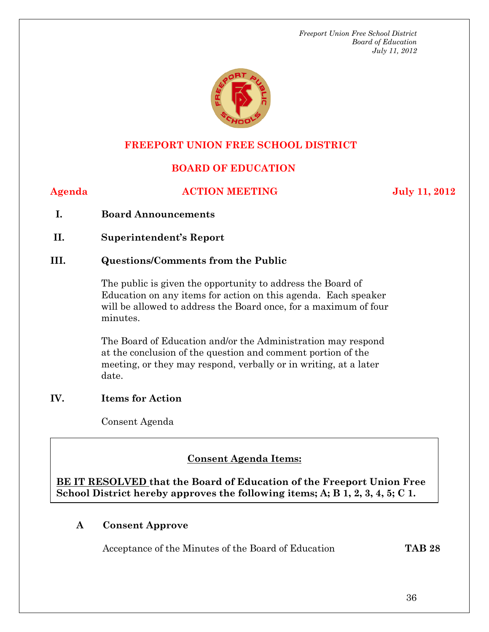

# **FREEPORT UNION FREE SCHOOL DISTRICT**

# **BOARD OF EDUCATION**

#### **Agenda ACTION MEETING July 11, 2012**

- **I. Board Announcements**
- **II. Superintendent's Report**

#### **III. Questions/Comments from the Public**

The public is given the opportunity to address the Board of Education on any items for action on this agenda. Each speaker will be allowed to address the Board once, for a maximum of four minutes.

The Board of Education and/or the Administration may respond at the conclusion of the question and comment portion of the meeting, or they may respond, verbally or in writing, at a later date.

#### **IV. Items for Action**

Consent Agenda

#### **Conserver - A Consent Agenda Items:**

**BE IT RESOLVED that the Board of Education of the Freeport Union Free School District hereby approves the following items; A; B 1, 2, 3, 4, 5; C 1.** 

# **A Consent Approve**

Acceptance of the Minutes of the Board of Education **TAB 28**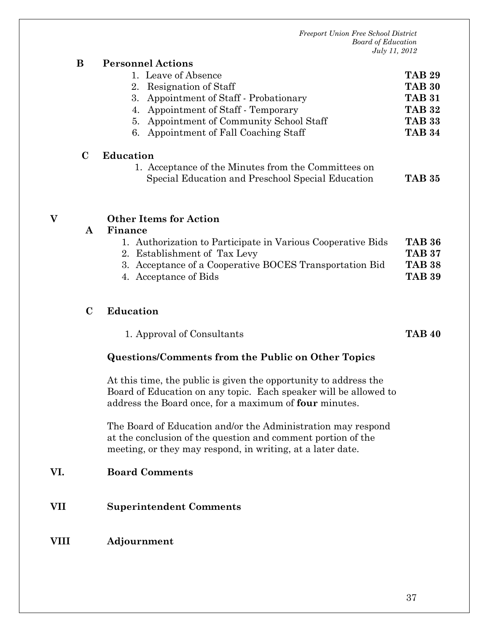|     | B            | <b>Personnel Actions</b>                                                                                                                                                                       |               |
|-----|--------------|------------------------------------------------------------------------------------------------------------------------------------------------------------------------------------------------|---------------|
|     |              | 1. Leave of Absence                                                                                                                                                                            | <b>TAB 29</b> |
|     |              | Resignation of Staff<br>2.                                                                                                                                                                     | <b>TAB 30</b> |
|     |              | 3.<br>Appointment of Staff - Probationary                                                                                                                                                      | <b>TAB 31</b> |
|     |              | Appointment of Staff - Temporary<br>4.                                                                                                                                                         | <b>TAB 32</b> |
|     |              | Appointment of Community School Staff<br>5.                                                                                                                                                    | <b>TAB 33</b> |
|     |              | Appointment of Fall Coaching Staff<br>6.                                                                                                                                                       | <b>TAB 34</b> |
|     | $\bf C$      | <b>Education</b>                                                                                                                                                                               |               |
|     |              | 1. Acceptance of the Minutes from the Committees on                                                                                                                                            |               |
|     |              | Special Education and Preschool Special Education                                                                                                                                              | <b>TAB 35</b> |
|     |              |                                                                                                                                                                                                |               |
| V   | $\mathbf{A}$ | <b>Other Items for Action</b><br>Finance                                                                                                                                                       |               |
|     |              | 1. Authorization to Participate in Various Cooperative Bids                                                                                                                                    | <b>TAB 36</b> |
|     |              | 2. Establishment of Tax Levy                                                                                                                                                                   | <b>TAB 37</b> |
|     |              | 3. Acceptance of a Cooperative BOCES Transportation Bid                                                                                                                                        | <b>TAB 38</b> |
|     |              | 4. Acceptance of Bids                                                                                                                                                                          | <b>TAB 39</b> |
|     | $\mathbf C$  | <b>Education</b>                                                                                                                                                                               |               |
|     |              | 1. Approval of Consultants                                                                                                                                                                     | <b>TAB 40</b> |
|     |              | Questions/Comments from the Public on Other Topics                                                                                                                                             |               |
|     |              | At this time, the public is given the opportunity to address the<br>Board of Education on any topic. Each speaker will be allowed to<br>address the Board once, for a maximum of four minutes. |               |
|     |              | The Board of Education and/or the Administration may respond<br>at the conclusion of the question and comment portion of the<br>meeting, or they may respond, in writing, at a later date.     |               |
| VI. |              | <b>Board Comments</b>                                                                                                                                                                          |               |
| VII |              | <b>Superintendent Comments</b>                                                                                                                                                                 |               |

#### **VIII Adjournment**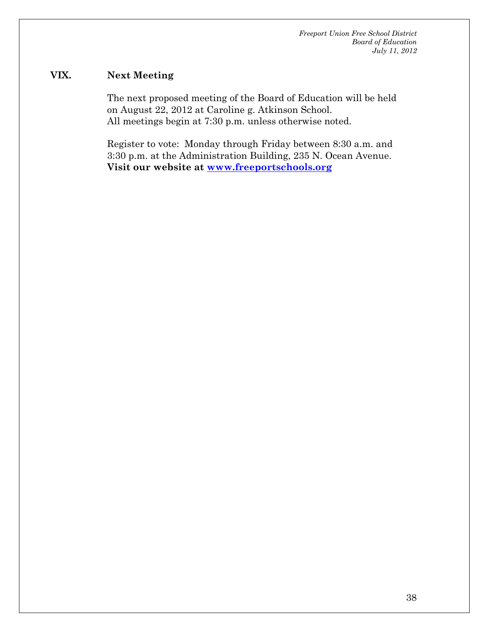#### **VIX. Next Meeting**

The next proposed meeting of the Board of Education will be held on August 22, 2012 at Caroline g. Atkinson School. All meetings begin at 7:30 p.m. unless otherwise noted.

Register to vote: Monday through Friday between 8:30 a.m. and 3:30 p.m. at the Administration Building, 235 N. Ocean Avenue. **Visit our website at www.freeportschools.org**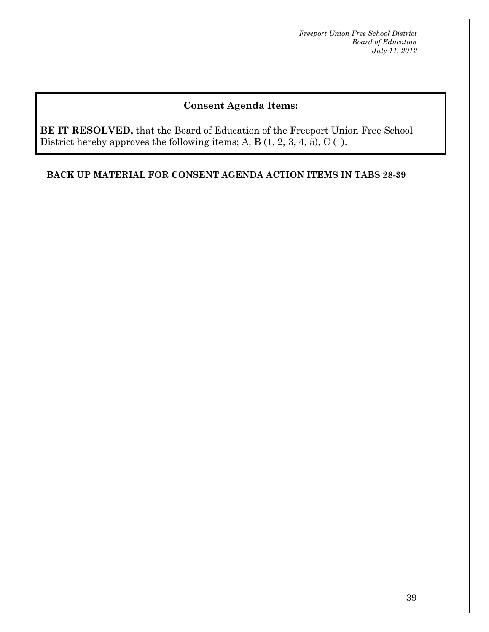# **Consent Agenda Items:**

**BE IT RESOLVED,** that the Board of Education of the Freeport Union Free School District hereby approves the following items; A, B (1, 2, 3, 4, 5), C (1).

**BACK UP MATERIAL FOR CONSENT AGENDA ACTION ITEMS IN TABS 28-39**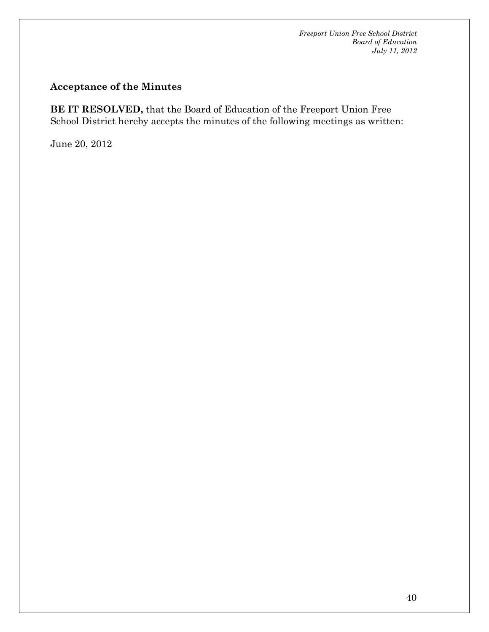# **Acceptance of the Minutes**

**BE IT RESOLVED,** that the Board of Education of the Freeport Union Free School District hereby accepts the minutes of the following meetings as written:

June 20, 2012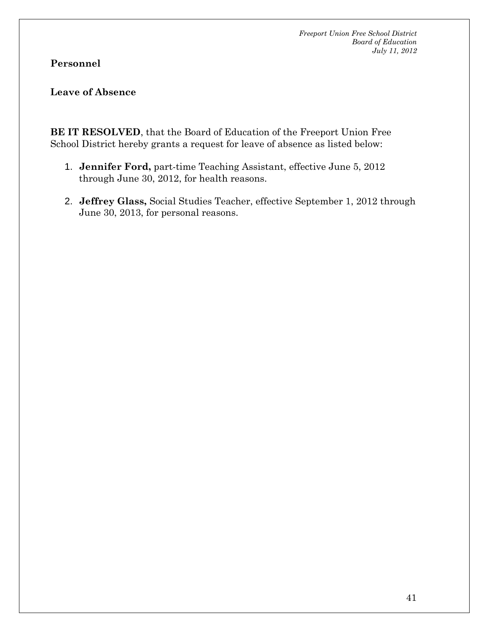**Personnel** 

**Leave of Absence** 

**BE IT RESOLVED**, that the Board of Education of the Freeport Union Free School District hereby grants a request for leave of absence as listed below:

- 1. **Jennifer Ford,** part-time Teaching Assistant, effective June 5, 2012 through June 30, 2012, for health reasons.
- 2. **Jeffrey Glass,** Social Studies Teacher, effective September 1, 2012 through June 30, 2013, for personal reasons.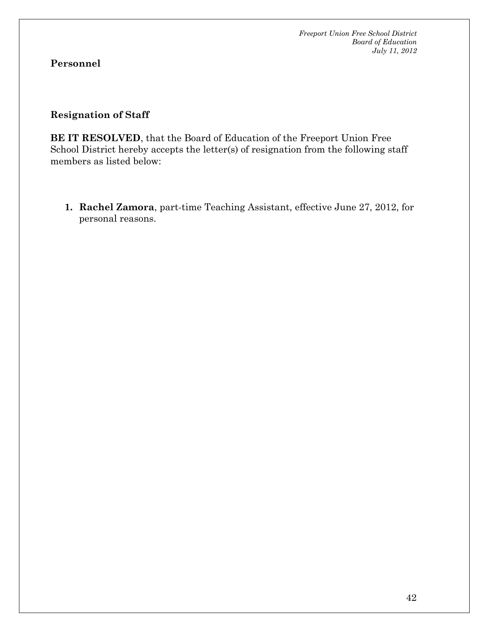# **Personnel**

#### **Resignation of Staff**

**BE IT RESOLVED**, that the Board of Education of the Freeport Union Free School District hereby accepts the letter(s) of resignation from the following staff members as listed below:

**1. Rachel Zamora**, part-time Teaching Assistant, effective June 27, 2012, for personal reasons.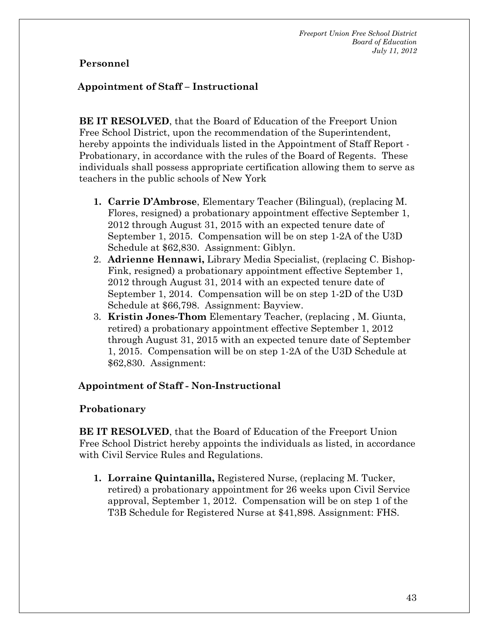#### **Personnel**

#### **Appointment of Staff – Instructional**

**BE IT RESOLVED**, that the Board of Education of the Freeport Union Free School District, upon the recommendation of the Superintendent, hereby appoints the individuals listed in the Appointment of Staff Report - Probationary, in accordance with the rules of the Board of Regents. These individuals shall possess appropriate certification allowing them to serve as teachers in the public schools of New York

- **1. Carrie D'Ambrose**, Elementary Teacher (Bilingual), (replacing M. Flores, resigned) a probationary appointment effective September 1, 2012 through August 31, 2015 with an expected tenure date of September 1, 2015. Compensation will be on step 1-2A of the U3D Schedule at \$62,830. Assignment: Giblyn.
- 2. **Adrienne Hennawi,** Library Media Specialist, (replacing C. Bishop-Fink, resigned) a probationary appointment effective September 1, 2012 through August 31, 2014 with an expected tenure date of September 1, 2014. Compensation will be on step 1-2D of the U3D Schedule at \$66,798. Assignment: Bayview.
- 3. **Kristin Jones-Thom** Elementary Teacher, (replacing , M. Giunta, retired) a probationary appointment effective September 1, 2012 through August 31, 2015 with an expected tenure date of September 1, 2015. Compensation will be on step 1-2A of the U3D Schedule at \$62,830. Assignment:

#### **Appointment of Staff - Non-Instructional**

#### **Probationary**

**BE IT RESOLVED**, that the Board of Education of the Freeport Union Free School District hereby appoints the individuals as listed, in accordance with Civil Service Rules and Regulations.

**1. Lorraine Quintanilla,** Registered Nurse, (replacing M. Tucker, retired) a probationary appointment for 26 weeks upon Civil Service approval, September 1, 2012. Compensation will be on step 1 of the T3B Schedule for Registered Nurse at \$41,898. Assignment: FHS.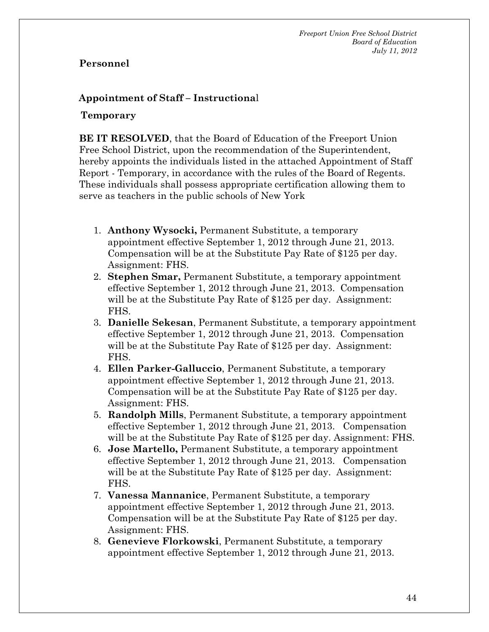#### **Personnel**

# **Appointment of Staff – Instructiona**l

#### **Temporary**

**BE IT RESOLVED**, that the Board of Education of the Freeport Union Free School District, upon the recommendation of the Superintendent, hereby appoints the individuals listed in the attached Appointment of Staff Report - Temporary, in accordance with the rules of the Board of Regents. These individuals shall possess appropriate certification allowing them to serve as teachers in the public schools of New York

- 1. **Anthony Wysocki,** Permanent Substitute, a temporary appointment effective September 1, 2012 through June 21, 2013. Compensation will be at the Substitute Pay Rate of \$125 per day. Assignment: FHS.
- 2. **Stephen Smar,** Permanent Substitute, a temporary appointment effective September 1, 2012 through June 21, 2013. Compensation will be at the Substitute Pay Rate of \$125 per day. Assignment: FHS.
- 3. **Danielle Sekesan**, Permanent Substitute, a temporary appointment effective September 1, 2012 through June 21, 2013. Compensation will be at the Substitute Pay Rate of \$125 per day. Assignment: FHS.
- 4. **Ellen Parker-Galluccio**, Permanent Substitute, a temporary appointment effective September 1, 2012 through June 21, 2013. Compensation will be at the Substitute Pay Rate of \$125 per day. Assignment: FHS.
- 5. **Randolph Mills**, Permanent Substitute, a temporary appointment effective September 1, 2012 through June 21, 2013. Compensation will be at the Substitute Pay Rate of \$125 per day. Assignment: FHS.
- 6. **Jose Martello,** Permanent Substitute, a temporary appointment effective September 1, 2012 through June 21, 2013. Compensation will be at the Substitute Pay Rate of \$125 per day. Assignment: FHS.
- 7. **Vanessa Mannanice**, Permanent Substitute, a temporary appointment effective September 1, 2012 through June 21, 2013. Compensation will be at the Substitute Pay Rate of \$125 per day. Assignment: FHS.
- 8. **Genevieve Florkowski**, Permanent Substitute, a temporary appointment effective September 1, 2012 through June 21, 2013.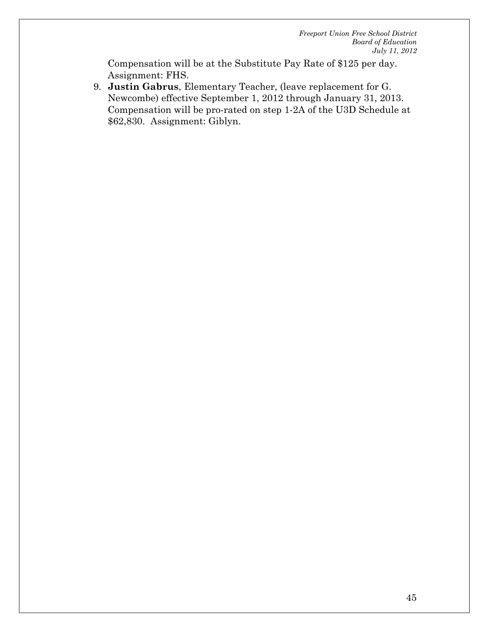Compensation will be at the Substitute Pay Rate of \$125 per day. Assignment: FHS.

9. **Justin Gabrus**, Elementary Teacher, (leave replacement for G. Newcombe) effective September 1, 2012 through January 31, 2013. Compensation will be pro-rated on step 1-2A of the U3D Schedule at \$62,830. Assignment: Giblyn.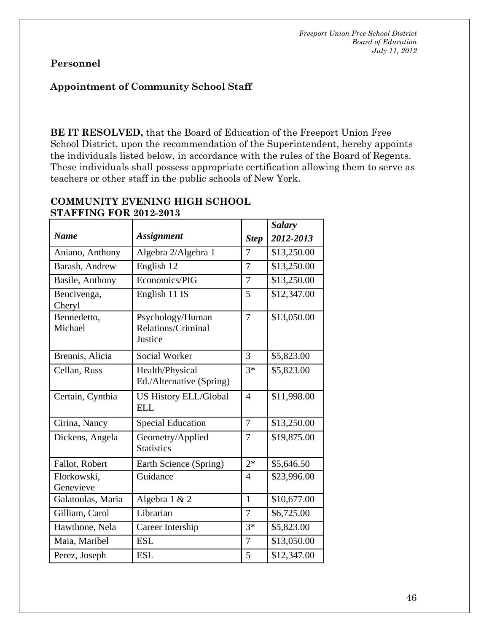# **Personnel**

#### **Appointment of Community School Staff**

**BE IT RESOLVED,** that the Board of Education of the Freeport Union Free School District, upon the recommendation of the Superintendent, hereby appoints the individuals listed below, in accordance with the rules of the Board of Regents. These individuals shall possess appropriate certification allowing them to serve as teachers or other staff in the public schools of New York.

| 2012-2013   |
|-------------|
| \$13,250.00 |
| \$13,250.00 |
| \$13,250.00 |
| \$12,347.00 |
| \$13,050.00 |
| \$5,823.00  |
| \$5,823.00  |
| \$11,998.00 |
| \$13,250.00 |
| \$19,875.00 |
| \$5,646.50  |
| \$23,996.00 |
| \$10,677.00 |
| \$6,725.00  |
| \$5,823.00  |
| \$13,050.00 |
| \$12,347.00 |
|             |

#### **COMMUNITY EVENING HIGH SCHOOL STAFFING FOR 2012 2012**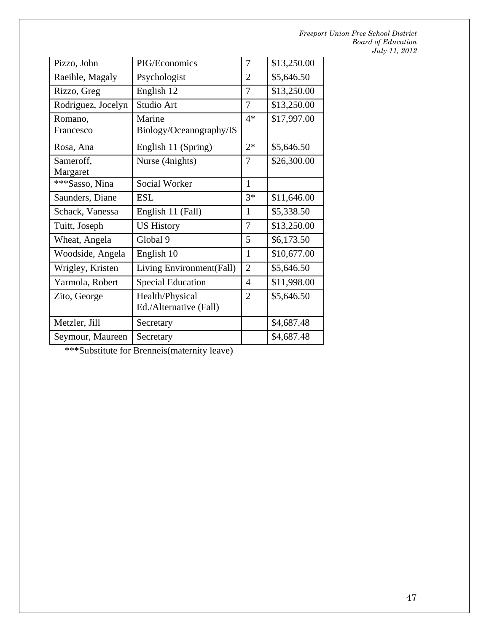| Pizzo, John           | PIG/Economics                             | 7              | \$13,250.00 |
|-----------------------|-------------------------------------------|----------------|-------------|
| Raeihle, Magaly       | Psychologist                              | $\overline{2}$ | \$5,646.50  |
| Rizzo, Greg           | English 12                                | 7              | \$13,250.00 |
| Rodriguez, Jocelyn    | Studio Art                                | 7              | \$13,250.00 |
| Romano,<br>Francesco  | Marine<br>Biology/Oceanography/IS         | $4*$           | \$17,997.00 |
| Rosa, Ana             | English 11 (Spring)                       | $2*$           | \$5,646.50  |
| Sameroff,<br>Margaret | Nurse (4nights)                           | 7              | \$26,300.00 |
| ***Sasso, Nina        | Social Worker                             | $\mathbf{1}$   |             |
| Saunders, Diane       | <b>ESL</b>                                | $3*$           | \$11,646.00 |
| Schack, Vanessa       | English 11 (Fall)                         | $\mathbf{1}$   | \$5,338.50  |
| Tuitt, Joseph         | <b>US History</b>                         | 7              | \$13,250.00 |
| Wheat, Angela         | Global 9                                  | 5              | \$6,173.50  |
| Woodside, Angela      | English 10                                | $\mathbf{1}$   | \$10,677.00 |
| Wrigley, Kristen      | Living Environment(Fall)                  | $\overline{2}$ | \$5,646.50  |
| Yarmola, Robert       | <b>Special Education</b>                  | $\overline{4}$ | \$11,998.00 |
| Zito, George          | Health/Physical<br>Ed./Alternative (Fall) | $\overline{2}$ | \$5,646.50  |
| Metzler, Jill         | Secretary                                 |                | \$4,687.48  |
| Seymour, Maureen      | Secretary                                 |                | \$4,687.48  |

\*\*\*Substitute for Brenneis(maternity leave)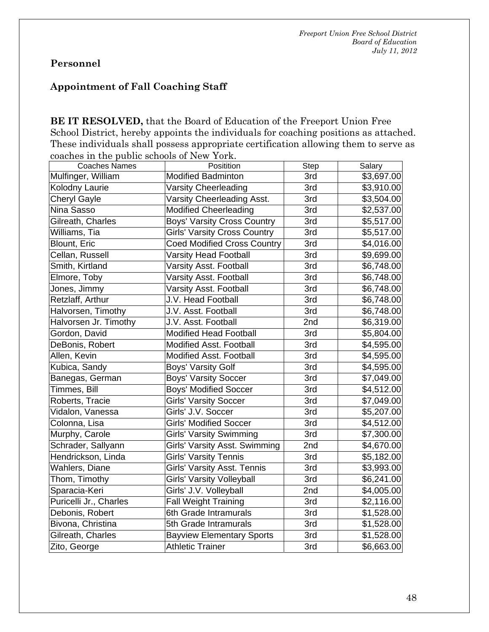# **Personnel**

# **Appointment of Fall Coaching Staff**

**BE IT RESOLVED,** that the Board of Education of the Freeport Union Free School District, hereby appoints the individuals for coaching positions as attached. These individuals shall possess appropriate certification allowing them to serve as coaches in the public schools of New York.

| <b>Coaches Names</b>   | Positition                          | <b>Step</b> | Salary     |
|------------------------|-------------------------------------|-------------|------------|
| Mulfinger, William     | <b>Modified Badminton</b>           | 3rd         | \$3,697.00 |
| Kolodny Laurie         | <b>Varsity Cheerleading</b>         | 3rd         | \$3,910.00 |
| <b>Cheryl Gayle</b>    | Varsity Cheerleading Asst.          | 3rd         | \$3,504.00 |
| Nina Sasso             | <b>Modified Cheerleading</b>        | 3rd         | \$2,537.00 |
| Gilreath, Charles      | <b>Boys' Varsity Cross Country</b>  | 3rd         | \$5,517.00 |
| Williams, Tia          | <b>Girls' Varsity Cross Country</b> | 3rd         | \$5,517.00 |
| Blount, Eric           | <b>Coed Modified Cross Country</b>  | 3rd         | \$4,016.00 |
| Cellan, Russell        | <b>Varsity Head Football</b>        | 3rd         | \$9,699.00 |
| Smith, Kirtland        | Varsity Asst. Football              | 3rd         | \$6,748.00 |
| Elmore, Toby           | <b>Varsity Asst. Football</b>       | 3rd         | \$6,748.00 |
| Jones, Jimmy           | <b>Varsity Asst. Football</b>       | 3rd         | \$6,748.00 |
| Retzlaff, Arthur       | J.V. Head Football                  | 3rd         | \$6,748.00 |
| Halvorsen, Timothy     | J.V. Asst. Football                 | 3rd         | \$6,748.00 |
| Halvorsen Jr. Timothy  | J.V. Asst. Football                 | 2nd         | \$6,319.00 |
| Gordon, David          | <b>Modified Head Football</b>       | 3rd         | \$5,804.00 |
| DeBonis, Robert        | Modified Asst. Football             | 3rd         | \$4,595.00 |
| Allen, Kevin           | <b>Modified Asst. Football</b>      | 3rd         | \$4,595.00 |
| Kubica, Sandy          | Boys' Varsity Golf                  | 3rd         | \$4,595.00 |
| Banegas, German        | <b>Boys' Varsity Soccer</b>         | 3rd         | \$7,049.00 |
| Timmes, Bill           | <b>Boys' Modified Soccer</b>        | 3rd         | \$4,512.00 |
| Roberts, Tracie        | <b>Girls' Varsity Soccer</b>        | 3rd         | \$7,049.00 |
| Vidalon, Vanessa       | Girls' J.V. Soccer                  | 3rd         | \$5,207.00 |
| Colonna, Lisa          | <b>Girls' Modified Soccer</b>       | 3rd         | \$4,512.00 |
| Murphy, Carole         | <b>Girls' Varsity Swimming</b>      | 3rd         | \$7,300.00 |
| Schrader, Sallyann     | Girls' Varsity Asst. Swimming       | 2nd         | \$4,670.00 |
| Hendrickson, Linda     | <b>Girls' Varsity Tennis</b>        | 3rd         | \$5,182.00 |
| Wahlers, Diane         | <b>Girls' Varsity Asst. Tennis</b>  | 3rd         | \$3,993.00 |
| Thom, Timothy          | Girls' Varsity Volleyball           | 3rd         | \$6,241.00 |
| Sparacia-Keri          | Girls' J.V. Volleyball              | 2nd         | \$4,005.00 |
| Puricelli Jr., Charles | <b>Fall Weight Training</b>         | 3rd         | \$2,116.00 |
| Debonis, Robert        | 6th Grade Intramurals               | 3rd         | \$1,528.00 |
| Bivona, Christina      | 5th Grade Intramurals               | 3rd         | \$1,528.00 |
| Gilreath, Charles      | <b>Bayview Elementary Sports</b>    | 3rd         | \$1,528.00 |
| Zito, George           | <b>Athletic Trainer</b>             | 3rd         | \$6,663.00 |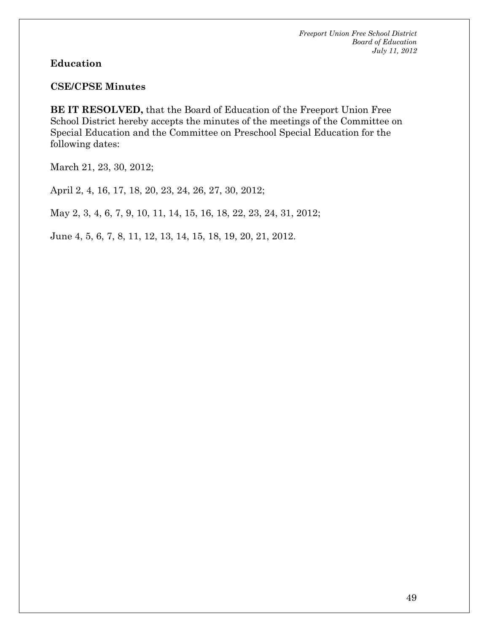#### **Education**

#### **CSE/CPSE Minutes**

**BE IT RESOLVED,** that the Board of Education of the Freeport Union Free School District hereby accepts the minutes of the meetings of the Committee on Special Education and the Committee on Preschool Special Education for the following dates:

March 21, 23, 30, 2012;

April 2, 4, 16, 17, 18, 20, 23, 24, 26, 27, 30, 2012;

May 2, 3, 4, 6, 7, 9, 10, 11, 14, 15, 16, 18, 22, 23, 24, 31, 2012;

June 4, 5, 6, 7, 8, 11, 12, 13, 14, 15, 18, 19, 20, 21, 2012.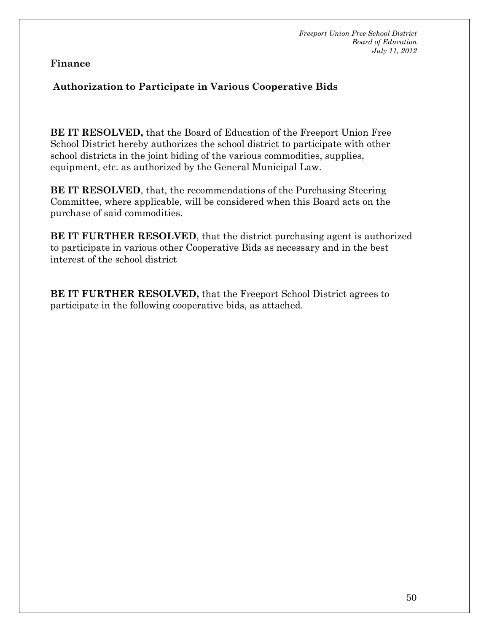#### **Finance**

# **Authorization to Participate in Various Cooperative Bids**

**BE IT RESOLVED,** that the Board of Education of the Freeport Union Free School District hereby authorizes the school district to participate with other school districts in the joint biding of the various commodities, supplies, equipment, etc. as authorized by the General Municipal Law.

**BE IT RESOLVED**, that, the recommendations of the Purchasing Steering Committee, where applicable, will be considered when this Board acts on the purchase of said commodities.

**BE IT FURTHER RESOLVED**, that the district purchasing agent is authorized to participate in various other Cooperative Bids as necessary and in the best interest of the school district

**BE IT FURTHER RESOLVED,** that the Freeport School District agrees to participate in the following cooperative bids, as attached.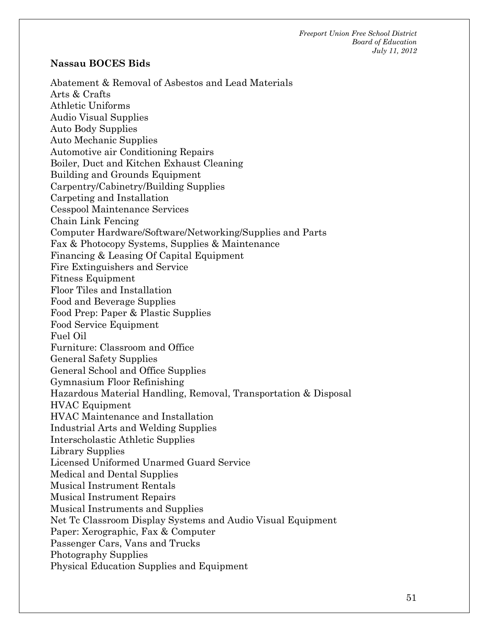#### **Nassau BOCES Bids**

Abatement & Removal of Asbestos and Lead Materials Arts & Crafts Athletic Uniforms Audio Visual Supplies Auto Body Supplies Auto Mechanic Supplies Automotive air Conditioning Repairs Boiler, Duct and Kitchen Exhaust Cleaning Building and Grounds Equipment Carpentry/Cabinetry/Building Supplies Carpeting and Installation Cesspool Maintenance Services Chain Link Fencing Computer Hardware/Software/Networking/Supplies and Parts Fax & Photocopy Systems, Supplies & Maintenance Financing & Leasing Of Capital Equipment Fire Extinguishers and Service Fitness Equipment Floor Tiles and Installation Food and Beverage Supplies Food Prep: Paper & Plastic Supplies Food Service Equipment Fuel Oil Furniture: Classroom and Office General Safety Supplies General School and Office Supplies Gymnasium Floor Refinishing Hazardous Material Handling, Removal, Transportation & Disposal HVAC Equipment HVAC Maintenance and Installation Industrial Arts and Welding Supplies Interscholastic Athletic Supplies Library Supplies Licensed Uniformed Unarmed Guard Service Medical and Dental Supplies Musical Instrument Rentals Musical Instrument Repairs Musical Instruments and Supplies Net Tc Classroom Display Systems and Audio Visual Equipment Paper: Xerographic, Fax & Computer Passenger Cars, Vans and Trucks Photography Supplies Physical Education Supplies and Equipment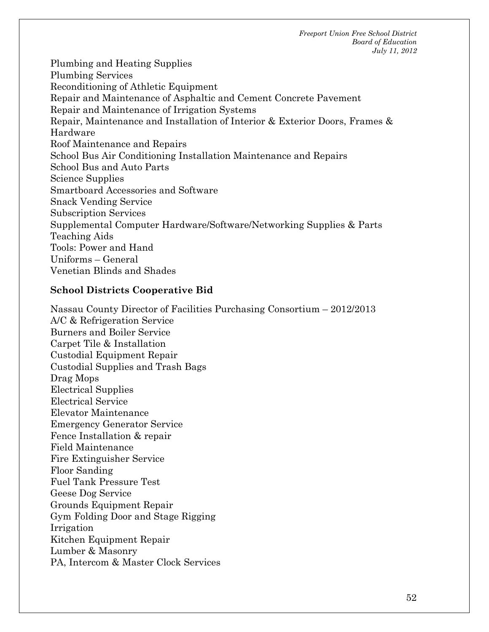Plumbing and Heating Supplies Plumbing Services Reconditioning of Athletic Equipment Repair and Maintenance of Asphaltic and Cement Concrete Pavement Repair and Maintenance of Irrigation Systems Repair, Maintenance and Installation of Interior & Exterior Doors, Frames & Hardware Roof Maintenance and Repairs School Bus Air Conditioning Installation Maintenance and Repairs School Bus and Auto Parts Science Supplies Smartboard Accessories and Software Snack Vending Service Subscription Services Supplemental Computer Hardware/Software/Networking Supplies & Parts Teaching Aids Tools: Power and Hand Uniforms – General Venetian Blinds and Shades

#### **School Districts Cooperative Bid**

Nassau County Director of Facilities Purchasing Consortium – 2012/2013 A/C & Refrigeration Service Burners and Boiler Service Carpet Tile & Installation Custodial Equipment Repair Custodial Supplies and Trash Bags Drag Mops Electrical Supplies Electrical Service Elevator Maintenance Emergency Generator Service Fence Installation & repair Field Maintenance Fire Extinguisher Service Floor Sanding Fuel Tank Pressure Test Geese Dog Service Grounds Equipment Repair Gym Folding Door and Stage Rigging Irrigation Kitchen Equipment Repair Lumber & Masonry PA, Intercom & Master Clock Services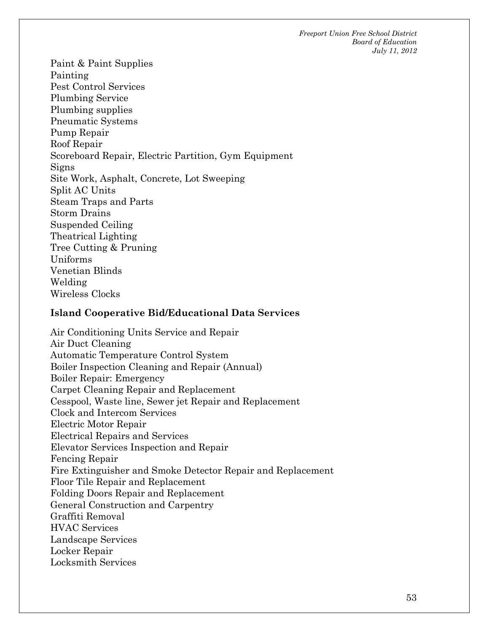Paint & Paint Supplies Painting Pest Control Services Plumbing Service Plumbing supplies Pneumatic Systems Pump Repair Roof Repair Scoreboard Repair, Electric Partition, Gym Equipment Signs Site Work, Asphalt, Concrete, Lot Sweeping Split AC Units Steam Traps and Parts Storm Drains Suspended Ceiling Theatrical Lighting Tree Cutting & Pruning Uniforms Venetian Blinds Welding Wireless Clocks

#### **Island Cooperative Bid/Educational Data Services**

Air Conditioning Units Service and Repair Air Duct Cleaning Automatic Temperature Control System Boiler Inspection Cleaning and Repair (Annual) Boiler Repair: Emergency Carpet Cleaning Repair and Replacement Cesspool, Waste line, Sewer jet Repair and Replacement Clock and Intercom Services Electric Motor Repair Electrical Repairs and Services Elevator Services Inspection and Repair Fencing Repair Fire Extinguisher and Smoke Detector Repair and Replacement Floor Tile Repair and Replacement Folding Doors Repair and Replacement General Construction and Carpentry Graffiti Removal HVAC Services Landscape Services Locker Repair Locksmith Services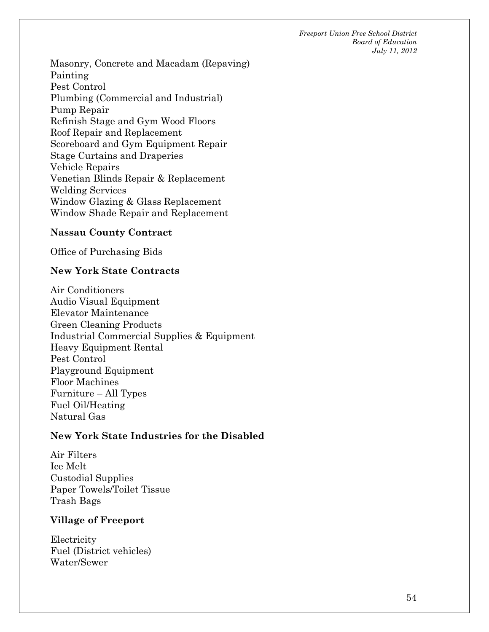Masonry, Concrete and Macadam (Repaving) Painting Pest Control Plumbing (Commercial and Industrial) Pump Repair Refinish Stage and Gym Wood Floors Roof Repair and Replacement Scoreboard and Gym Equipment Repair Stage Curtains and Draperies Vehicle Repairs Venetian Blinds Repair & Replacement Welding Services Window Glazing & Glass Replacement Window Shade Repair and Replacement

#### **Nassau County Contract**

Office of Purchasing Bids

#### **New York State Contracts**

Air Conditioners Audio Visual Equipment Elevator Maintenance Green Cleaning Products Industrial Commercial Supplies & Equipment Heavy Equipment Rental Pest Control Playground Equipment Floor Machines Furniture – All Types Fuel Oil/Heating Natural Gas

#### **New York State Industries for the Disabled**

Air Filters Ice Melt Custodial Supplies Paper Towels/Toilet Tissue Trash Bags

#### **Village of Freeport**

Electricity Fuel (District vehicles) Water/Sewer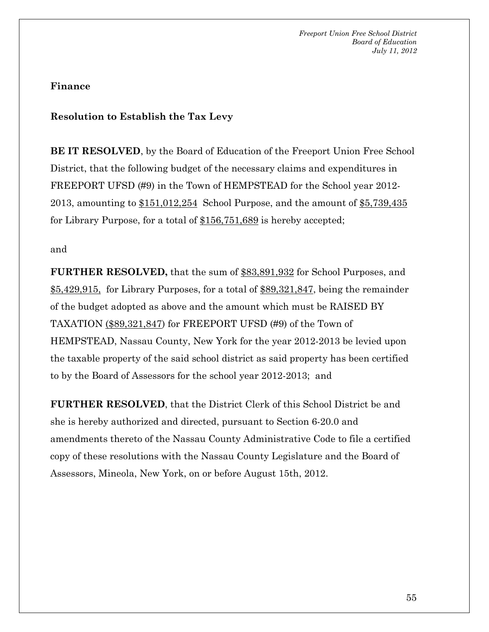#### **Finance**

#### **Resolution to Establish the Tax Levy**

**BE IT RESOLVED**, by the Board of Education of the Freeport Union Free School District, that the following budget of the necessary claims and expenditures in FREEPORT UFSD (#9) in the Town of HEMPSTEAD for the School year 2012-2013, amounting to  $$151,012,254$  School Purpose, and the amount of  $$5,739,435$ for Library Purpose, for a total of \$156,751,689 is hereby accepted;

#### and

**FURTHER RESOLVED,** that the sum of \$83,891,932 for School Purposes, and \$5,429,915, for Library Purposes, for a total of \$89,321,847, being the remainder of the budget adopted as above and the amount which must be RAISED BY TAXATION (\$89,321,847) for FREEPORT UFSD (#9) of the Town of HEMPSTEAD, Nassau County, New York for the year 2012-2013 be levied upon the taxable property of the said school district as said property has been certified to by the Board of Assessors for the school year 2012-2013; and

**FURTHER RESOLVED**, that the District Clerk of this School District be and she is hereby authorized and directed, pursuant to Section 6-20.0 and amendments thereto of the Nassau County Administrative Code to file a certified copy of these resolutions with the Nassau County Legislature and the Board of Assessors, Mineola, New York, on or before August 15th, 2012.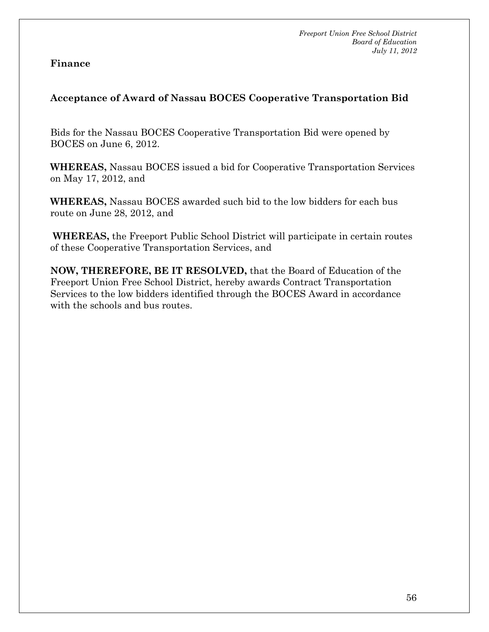#### **Finance**

# **Acceptance of Award of Nassau BOCES Cooperative Transportation Bid**

Bids for the Nassau BOCES Cooperative Transportation Bid were opened by BOCES on June 6, 2012.

**WHEREAS,** Nassau BOCES issued a bid for Cooperative Transportation Services on May 17, 2012, and

**WHEREAS,** Nassau BOCES awarded such bid to the low bidders for each bus route on June 28, 2012, and

**WHEREAS,** the Freeport Public School District will participate in certain routes of these Cooperative Transportation Services, and

**NOW, THEREFORE, BE IT RESOLVED,** that the Board of Education of the Freeport Union Free School District, hereby awards Contract Transportation Services to the low bidders identified through the BOCES Award in accordance with the schools and bus routes.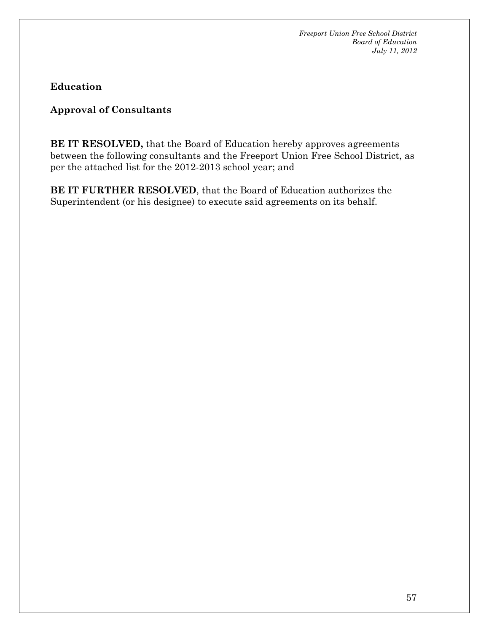**Education** 

**Approval of Consultants** 

**BE IT RESOLVED,** that the Board of Education hereby approves agreements between the following consultants and the Freeport Union Free School District, as per the attached list for the 2012-2013 school year; and

**BE IT FURTHER RESOLVED**, that the Board of Education authorizes the Superintendent (or his designee) to execute said agreements on its behalf.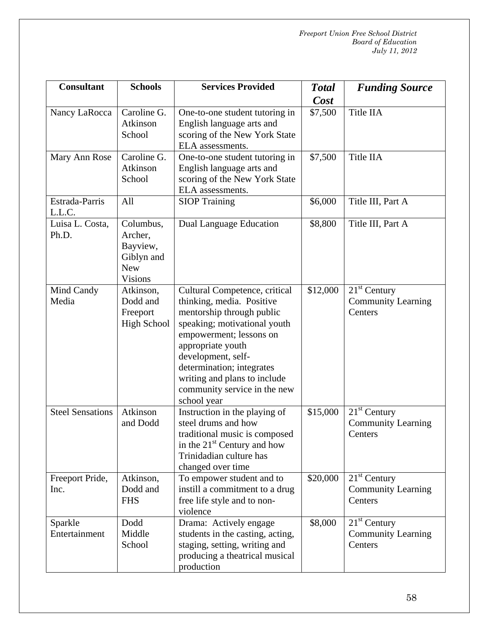| <b>Consultant</b>        | <b>Schools</b>                                                                 | <b>Services Provided</b>                                                                                                                                                                                                                                                                                  | <b>Total</b><br>Cost | <b>Funding Source</b>                                  |
|--------------------------|--------------------------------------------------------------------------------|-----------------------------------------------------------------------------------------------------------------------------------------------------------------------------------------------------------------------------------------------------------------------------------------------------------|----------------------|--------------------------------------------------------|
| Nancy LaRocca            | Caroline G.<br>Atkinson<br>School                                              | One-to-one student tutoring in<br>English language arts and<br>scoring of the New York State<br>ELA assessments.                                                                                                                                                                                          | \$7,500              | Title IIA                                              |
| Mary Ann Rose            | Caroline G.<br>Atkinson<br>School                                              | One-to-one student tutoring in<br>English language arts and<br>scoring of the New York State<br>ELA assessments.                                                                                                                                                                                          | \$7,500              | Title IIA                                              |
| Estrada-Parris<br>L.L.C. | All                                                                            | <b>SIOP Training</b>                                                                                                                                                                                                                                                                                      | \$6,000              | Title III, Part A                                      |
| Luisa L. Costa,<br>Ph.D. | Columbus,<br>Archer,<br>Bayview,<br>Giblyn and<br><b>New</b><br><b>Visions</b> | Dual Language Education                                                                                                                                                                                                                                                                                   | \$8,800              | Title III, Part A                                      |
| Mind Candy<br>Media      | Atkinson,<br>Dodd and<br>Freeport<br><b>High School</b>                        | Cultural Competence, critical<br>thinking, media. Positive<br>mentorship through public<br>speaking; motivational youth<br>empowerment; lessons on<br>appropriate youth<br>development, self-<br>determination; integrates<br>writing and plans to include<br>community service in the new<br>school year | \$12,000             | $21st$ Century<br><b>Community Learning</b><br>Centers |
| <b>Steel Sensations</b>  | Atkinson<br>and Dodd                                                           | Instruction in the playing of<br>steel drums and how<br>traditional music is composed<br>in the $21st$ Century and how<br>Trinidadian culture has<br>changed over time                                                                                                                                    | \$15,000             | $21st$ Century<br><b>Community Learning</b><br>Centers |
| Freeport Pride,<br>Inc.  | Atkinson,<br>Dodd and<br><b>FHS</b>                                            | To empower student and to<br>instill a commitment to a drug<br>free life style and to non-<br>violence                                                                                                                                                                                                    | \$20,000             | $21st$ Century<br><b>Community Learning</b><br>Centers |
| Sparkle<br>Entertainment | Dodd<br>Middle<br>School                                                       | Drama: Actively engage<br>students in the casting, acting,<br>staging, setting, writing and<br>producing a theatrical musical<br>production                                                                                                                                                               | \$8,000              | $21st$ Century<br><b>Community Learning</b><br>Centers |